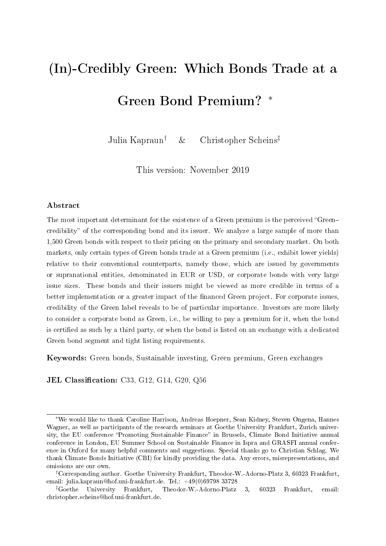# (In)-Credibly Green: Which Bonds Trade at a Green Bond Premium? <sup>∗</sup>

Julia Kapraun† & Christopher Scheins‡

This version: November 2019

#### Abstract

The most important determinant for the existence of a Green premium is the perceived "Greencredibility" of the corresponding bond and its issuer. We analyze a large sample of more than 1,500 Green bonds with respect to their pricing on the primary and secondary market. On both markets, only certain types of Green bonds trade at a Green premium (i.e., exhibit lower yields) relative to their conventional counterparts, namely those, which are issued by governments or supranational entities, denominated in EUR or USD, or corporate bonds with very large issue sizes. These bonds and their issuers might be viewed as more credible in terms of a better implementation or a greater impact of the financed Green project. For corporate issues, credibility of the Green label reveals to be of particular importance. Investors are more likely to consider a corporate bond as Green, i.e., be willing to pay a premium for it, when the bond is certified as such by a third party, or when the bond is listed on an exchange with a dedicated Green bond segment and tight listing requirements.

Keywords: Green bonds, Sustainable investing, Green premium, Green exchanges

**JEL Classification:** C33, G12, G14, G20, Q56

<sup>∗</sup>We would like to thank Caroline Harrison, Andreas Hoepner, Sean Kidney, Steven Ongena, Hannes Wagner, as well as participants of the research seminars at Goethe University Frankfurt, Zurich university, the EU conference "Promoting Sustainable Finance" in Brussels, Climate Bond Initiative annual conference in London, EU Summer School on Sustainable Finance in Ispra and GRASFI annual conference in Oxford for many helpful comments and suggestions. Special thanks go to Christian Schlag. We thank Climate Bonds Initiative (CBI) for kindly providing the data. Any errors, misrepresentations, and omissions are our own.

<sup>†</sup>Corresponding author. Goethe University Frankfurt, Theodor-W.-Adorno-Platz 3, 60323 Frankfurt, email: julia.kapraun@hof.uni-frankfurt.de. Tel.: +49(0)69798 33728

<sup>‡</sup>Goethe University Frankfurt, Theodor-W.-Adorno-Platz 3, 60323 Frankfurt, email: christopher.scheins@hof.uni-frankfurt.de.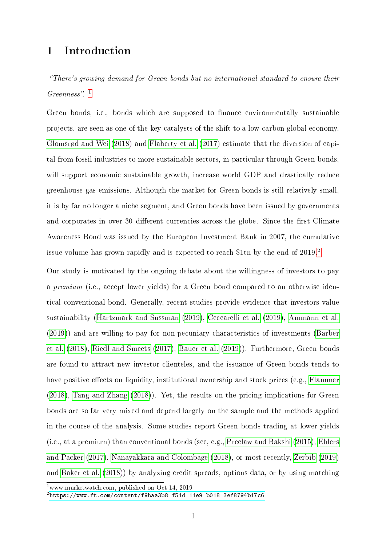# 1 Introduction

There's growing demand for Green bonds but no international standard to ensure their  $Greenness$ ". <sup>[1](#page-1-0)</sup>

Green bonds, i.e., bonds which are supposed to finance environmentally sustainable projects, are seen as one of the key catalysts of the shift to a low-carbon global economy. [Glomsrød and Wei](#page-25-0) [\(2018\)](#page-25-0) and [Flaherty et al.](#page-25-1) [\(2017\)](#page-25-1) estimate that the diversion of capital from fossil industries to more sustainable sectors, in particular through Green bonds, will support economic sustainable growth, increase world GDP and drastically reduce greenhouse gas emissions. Although the market for Green bonds is still relatively small, it is by far no longer a niche segment, and Green bonds have been issued by governments and corporates in over 30 different currencies across the globe. Since the first Climate Awareness Bond was issued by the European Investment Bank in 2007, the cumulative issue volume has grown rapidly and is expected to reach \$1tn by the end of [2](#page-1-1)019.<sup>2</sup>

Our study is motivated by the ongoing debate about the willingness of investors to pay a premium (i.e., accept lower yields) for a Green bond compared to an otherwise identical conventional bond. Generally, recent studies provide evidence that investors value sustainability [\(Hartzmark and Sussman](#page-25-2) [\(2019\)](#page-25-2), [Ceccarelli et al.](#page-25-3) [\(2019\)](#page-25-3), [Ammann et al.](#page-25-4) [\(2019\)](#page-25-4)) and are willing to pay for non-pecuniary characteristics of investments [\(Barber](#page-25-5) [et al.](#page-25-5) [\(2018\)](#page-25-5), [Riedl and Smeets](#page-26-0) [\(2017\)](#page-26-0), [Bauer et al.](#page-25-6) [\(2019\)](#page-25-6)). Furthermore, Green bonds are found to attract new investor clienteles, and the issuance of Green bonds tends to have positive effects on liquidity, institutional ownership and stock prices (e.g., [Flammer](#page-25-7) [\(2018\)](#page-25-7), [Tang and Zhang](#page-26-1) [\(2018\)](#page-26-1)). Yet, the results on the pricing implications for Green bonds are so far very mixed and depend largely on the sample and the methods applied in the course of the analysis. Some studies report Green bonds trading at lower yields (i.e., at a premium) than conventional bonds (see, e.g., [Preclaw and Bakshi](#page-26-2) [\(2015\)](#page-26-2), [Ehlers](#page-25-8) [and Packer](#page-25-8) [\(2017\)](#page-25-8), [Nanayakkara and Colombage](#page-26-3) [\(2018\)](#page-26-3), or most recently, [Zerbib](#page-26-4) [\(2019\)](#page-26-4) and [Baker et al.](#page-25-9) [\(2018\)](#page-25-9)) by analyzing credit spreads, options data, or by using matching

<span id="page-1-0"></span><sup>1</sup>www.marketwatch.com, published on Oct 14, 2019

<span id="page-1-1"></span> $2$ <https://www.ft.com/content/f9baa3b8-f51d-11e9-b018-3ef8794b17c6>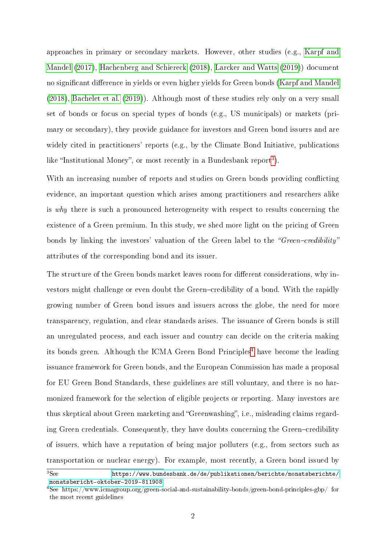approaches in primary or secondary markets. However, other studies (e.g., [Karpf and](#page-25-10) [Mandel](#page-25-10) [\(2017\)](#page-25-10), [Hachenberg and Schiereck](#page-25-11) [\(2018\)](#page-25-11), [Larcker and Watts](#page-25-12) [\(2019\)](#page-25-12)) document no significant difference in yields or even higher yields for Green bonds [\(Karpf and Mandel](#page-25-13) [\(2018\)](#page-25-13), [Bachelet et al.](#page-25-14) [\(2019\)](#page-25-14)). Although most of these studies rely only on a very small set of bonds or focus on special types of bonds (e.g., US municipals) or markets (primary or secondary), they provide guidance for investors and Green bond issuers and are widely cited in practitioners' reports (e.g., by the Climate Bond Initiative, publications like "Institutional Money", or most recently in a Bundesbank report<sup>[3](#page-2-0)</sup>).

With an increasing number of reports and studies on Green bonds providing conflicting evidence, an important question which arises among practitioners and researchers alike is why there is such a pronounced heterogeneity with respect to results concerning the existence of a Green premium. In this study, we shed more light on the pricing of Green bonds by linking the investors' valuation of the Green label to the "Green-credibility" attributes of the corresponding bond and its issuer.

The structure of the Green bonds market leaves room for different considerations, why investors might challenge or even doubt the Green-credibility of a bond. With the rapidly growing number of Green bond issues and issuers across the globe, the need for more transparency, regulation, and clear standards arises. The issuance of Green bonds is still an unregulated process, and each issuer and country can decide on the criteria making its bonds green. Although the ICMA Green Bond Principles<sup>[4](#page-2-1)</sup> have become the leading issuance framework for Green bonds, and the European Commission has made a proposal for EU Green Bond Standards, these guidelines are still voluntary, and there is no harmonized framework for the selection of eligible projects or reporting. Many investors are thus skeptical about Green marketing and "Greenwashing", i.e., misleading claims regarding Green credentials. Consequently, they have doubts concerning the Green-credibility of issuers, which have a reputation of being major polluters (e.g., from sectors such as transportation or nuclear energy). For example, most recently, a Green bond issued by

<span id="page-2-0"></span><sup>3</sup>See [https://www.bundesbank.de/de/publikationen/berichte/monatsberichte/](https://www.bundesbank.de/de/publikationen/berichte/monatsberichte/monatsbericht-oktober-2019-811908) [monatsbericht-oktober-2019-811908](https://www.bundesbank.de/de/publikationen/berichte/monatsberichte/monatsbericht-oktober-2019-811908)

<span id="page-2-1"></span><sup>4</sup>See https://www.icmagroup.org/green-social-and-sustainability-bonds/green-bond-principles-gbp/ for the most recent guidelines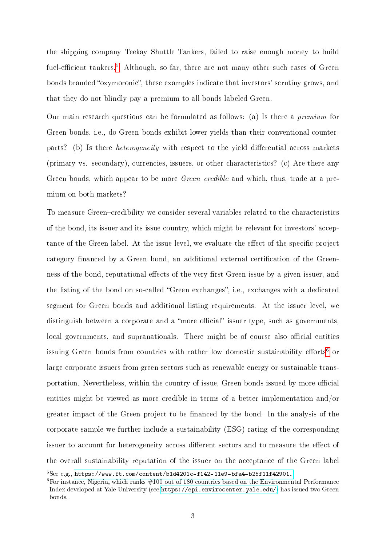the shipping company Teekay Shuttle Tankers, failed to raise enough money to build fuel-efficient tankers.<sup>[5](#page-3-0)</sup> Although, so far, there are not many other such cases of Green bonds branded "oxymoronic", these examples indicate that investors' scrutiny grows, and that they do not blindly pay a premium to all bonds labeled Green.

Our main research questions can be formulated as follows: (a) Is there a premium for Green bonds, i.e., do Green bonds exhibit lower yields than their conventional counterparts? (b) Is there *heterogeneity* with respect to the yield differential across markets (primary vs. secondary), currencies, issuers, or other characteristics? (c) Are there any Green bonds, which appear to be more *Green-credible* and which, thus, trade at a premium on both markets?

To measure Green–credibility we consider several variables related to the characteristics of the bond, its issuer and its issue country, which might be relevant for investors' acceptance of the Green label. At the issue level, we evaluate the effect of the specific project category financed by a Green bond, an additional external certification of the Greenness of the bond, reputational effects of the very first Green issue by a given issuer, and the listing of the bond on so-called "Green exchanges", i.e., exchanges with a dedicated segment for Green bonds and additional listing requirements. At the issuer level, we distinguish between a corporate and a "more official" issuer type, such as governments, local governments, and supranationals. There might be of course also official entities issuing Green bonds from countries with rather low domestic sustainability efforts<sup>[6](#page-3-1)</sup> or large corporate issuers from green sectors such as renewable energy or sustainable transportation. Nevertheless, within the country of issue, Green bonds issued by more official entities might be viewed as more credible in terms of a better implementation and/or greater impact of the Green project to be financed by the bond. In the analysis of the corporate sample we further include a sustainability (ESG) rating of the corresponding issuer to account for heterogeneity across different sectors and to measure the effect of the overall sustainability reputation of the issuer on the acceptance of the Green label

<span id="page-3-0"></span> ${}^{5}$ See e.g., <https://www.ft.com/content/b1d4201c-f142-11e9-bfa4-b25f11f42901.>

<span id="page-3-1"></span> $6$ For instance, Nigeria, which ranks  $\#100$  out of 180 countries based on the Environmental Performance Index developed at Yale University (see [https://epi.envirocenter.yale.edu/\)](https://epi.envirocenter.yale.edu/) has issued two Green bonds.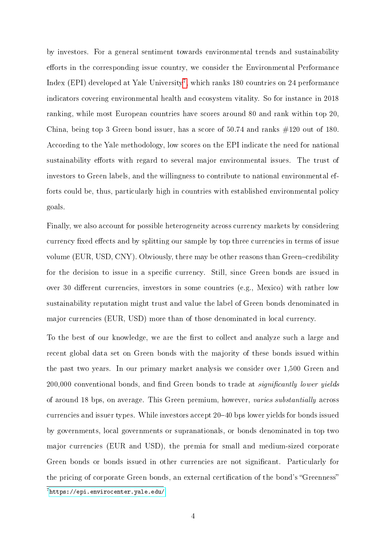by investors. For a general sentiment towards environmental trends and sustainability efforts in the corresponding issue country, we consider the Environmental Performance Index (EPI) developed at Yale University<sup>[7](#page-4-0)</sup>, which ranks 180 countries on 24 performance indicators covering environmental health and ecosystem vitality. So for instance in 2018 ranking, while most European countries have scores around 80 and rank within top 20, China, being top 3 Green bond issuer, has a score of 50.74 and ranks #120 out of 180. According to the Yale methodology, low scores on the EPI indicate the need for national sustainability efforts with regard to several major environmental issues. The trust of investors to Green labels, and the willingness to contribute to national environmental efforts could be, thus, particularly high in countries with established environmental policy goals.

Finally, we also account for possible heterogeneity across currency markets by considering currency fixed effects and by splitting our sample by top three currencies in terms of issue volume (EUR, USD, CNY). Obviously, there may be other reasons than Green-credibility for the decision to issue in a specific currency. Still, since Green bonds are issued in over 30 different currencies, investors in some countries (e.g., Mexico) with rather low sustainability reputation might trust and value the label of Green bonds denominated in major currencies (EUR, USD) more than of those denominated in local currency.

To the best of our knowledge, we are the first to collect and analyze such a large and recent global data set on Green bonds with the majority of these bonds issued within the past two years. In our primary market analysis we consider over 1,500 Green and 200,000 conventional bonds, and find Green bonds to trade at significantly lower yields of around 18 bps, on average. This Green premium, however, varies substantially across currencies and issuer types. While investors accept 20–40 bps lower yields for bonds issued by governments, local governments or supranationals, or bonds denominated in top two major currencies (EUR and USD), the premia for small and medium-sized corporate Green bonds or bonds issued in other currencies are not signicant. Particularly for the pricing of corporate Green bonds, an external certification of the bond's "Greenness"

<span id="page-4-0"></span> $7$ <https://epi.envirocenter.yale.edu/>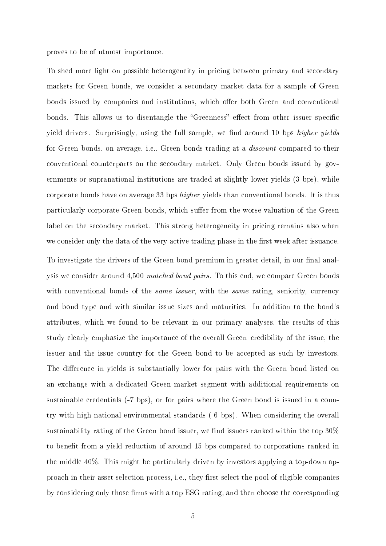proves to be of utmost importance.

To shed more light on possible heterogeneity in pricing between primary and secondary markets for Green bonds, we consider a secondary market data for a sample of Green bonds issued by companies and institutions, which offer both Green and conventional bonds. This allows us to disentangle the "Greenness" effect from other issuer specific yield drivers. Surprisingly, using the full sample, we find around 10 bps higher yields for Green bonds, on average, i.e., Green bonds trading at a discount compared to their conventional counterparts on the secondary market. Only Green bonds issued by governments or supranational institutions are traded at slightly lower yields (3 bps), while corporate bonds have on average 33 bps higher yields than conventional bonds. It is thus particularly corporate Green bonds, which suffer from the worse valuation of the Green label on the secondary market. This strong heterogeneity in pricing remains also when we consider only the data of the very active trading phase in the first week after issuance. To investigate the drivers of the Green bond premium in greater detail, in our final analysis we consider around 4,500 matched bond pairs. To this end, we compare Green bonds with conventional bonds of the *same issuer*, with the *same* rating, seniority, currency and bond type and with similar issue sizes and maturities. In addition to the bond's attributes, which we found to be relevant in our primary analyses, the results of this study clearly emphasize the importance of the overall Green-credibility of the issue, the issuer and the issue country for the Green bond to be accepted as such by investors. The difference in yields is substantially lower for pairs with the Green bond listed on an exchange with a dedicated Green market segment with additional requirements on sustainable credentials (-7 bps), or for pairs where the Green bond is issued in a country with high national environmental standards (-6 bps). When considering the overall sustainability rating of the Green bond issuer, we find issuers ranked within the top  $30\%$ to benefit from a yield reduction of around 15 bps compared to corporations ranked in the middle 40%. This might be particularly driven by investors applying a top-down approach in their asset selection process, i.e., they first select the pool of eligible companies by considering only those firms with a top ESG rating, and then choose the corresponding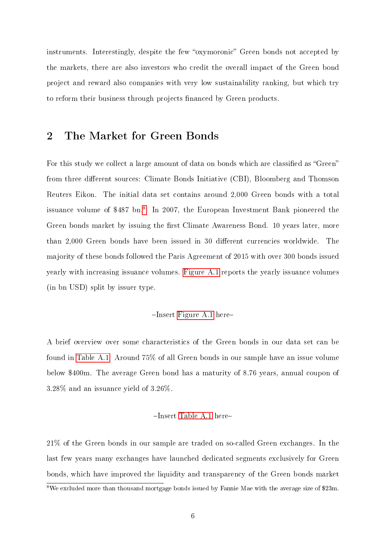instruments. Interestingly, despite the few "oxymoronic" Green bonds not accepted by the markets, there are also investors who credit the overall impact of the Green bond project and reward also companies with very low sustainability ranking, but which try to reform their business through projects financed by Green products.

## <span id="page-6-1"></span>2 The Market for Green Bonds

For this study we collect a large amount of data on bonds which are classified as "Green" from three different sources: Climate Bonds Initiative (CBI), Bloomberg and Thomson Reuters Eikon. The initial data set contains around 2,000 Green bonds with a total issuance volume of \$4[8](#page-6-0)7 bn.<sup>8</sup> In 2007, the European Investment Bank pioneered the Green bonds market by issuing the first Climate Awareness Bond. 10 years later, more than 2,000 Green bonds have been issued in 30 different currencies worldwide. The majority of these bonds followed the Paris Agreement of 2015 with over 300 bonds issued yearly with increasing issuance volumes. [Figure A.1](#page-27-0) reports the yearly issuance volumes (in bn USD) split by issuer type.

#### $-$ Insert [Figure A.1](#page-27-0) here-

A brief overview over some characteristics of the Green bonds in our data set can be found in [Table A.1.](#page-27-1) Around 75% of all Green bonds in our sample have an issue volume below \$400m. The average Green bond has a maturity of 8.76 years, annual coupon of 3.28% and an issuance yield of 3.26%.

#### -Insert [Table A.1](#page-27-1) here-

21% of the Green bonds in our sample are traded on so-called Green exchanges. In the last few years many exchanges have launched dedicated segments exclusively for Green bonds, which have improved the liquidity and transparency of the Green bonds market

<span id="page-6-0"></span> $8\text{We excluded more than thousand mortgage bonds issued by Fannie Mae with the average size of $23m.}$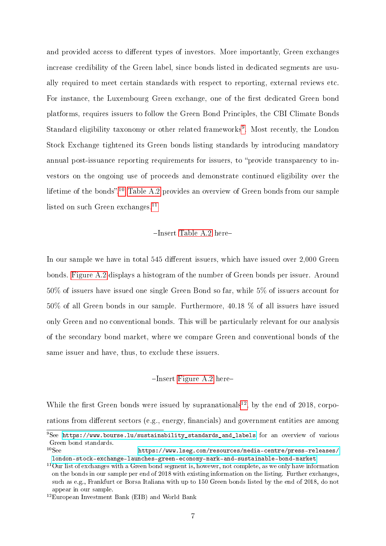and provided access to different types of investors. More importantly, Green exchanges increase credibility of the Green label, since bonds listed in dedicated segments are usually required to meet certain standards with respect to reporting, external reviews etc. For instance, the Luxembourg Green exchange, one of the first dedicated Green bond platforms, requires issuers to follow the Green Bond Principles, the CBI Climate Bonds Standard eligibility taxonomy or other related frameworks<sup>[9](#page-7-0)</sup>. Most recently, the London Stock Exchange tightened its Green bonds listing standards by introducing mandatory annual post-issuance reporting requirements for issuers, to "provide transparency to investors on the ongoing use of proceeds and demonstrate continued eligibility over the lifetime of the bonds".<sup>[10](#page-7-1)</sup> [Table A.2](#page-28-0) provides an overview of Green bonds from our sample listed on such Green exchanges. $^{11}$  $^{11}$  $^{11}$ 

#### $-$ Insert [Table A.2](#page-28-0) here $-$

In our sample we have in total 545 different issuers, which have issued over 2,000 Green bonds. [Figure A.2](#page-28-1) displays a histogram of the number of Green bonds per issuer. Around 50% of issuers have issued one single Green Bond so far, while 5% of issuers account for 50% of all Green bonds in our sample. Furthermore, 40.18 % of all issuers have issued only Green and no conventional bonds. This will be particularly relevant for our analysis of the secondary bond market, where we compare Green and conventional bonds of the same issuer and have, thus, to exclude these issuers.

#### $-$ Insert [Figure A.2](#page-28-1) here-

While the first Green bonds were issued by supranationals<sup>[12](#page-7-3)</sup>, by the end of 2018, corporations from different sectors (e.g., energy, financials) and government entities are among

<span id="page-7-0"></span> $9See$  [https://www.bourse.lu/sustainability\\_standards\\_and\\_labels](https://www.bourse.lu/sustainability_standards_and_labels) for an overview of various Green bond standards.<br> ${}^{10}$ See

<span id="page-7-1"></span>[https://www.lseg.com/resources/media-centre/press-releases/](https://www.lseg.com/resources/media-centre/press-releases/london-stock-exchange-launches-green-economy-mark-and-sustainable-bond-market) [london-stock-exchange-launches-green-economy-mark-and-sustainable-bond-market.](https://www.lseg.com/resources/media-centre/press-releases/london-stock-exchange-launches-green-economy-mark-and-sustainable-bond-market)

<span id="page-7-2"></span><sup>&</sup>lt;sup>11</sup>Our list of exchanges with a Green bond segment is, however, not complete, as we only have information on the bonds in our sample per end of 2018 with existing information on the listing. Further exchanges, such as e.g., Frankfurt or Borsa Italiana with up to 150 Green bonds listed by the end of 2018, do not appear in our sample.

<span id="page-7-3"></span><sup>12</sup>European Investment Bank (EIB) and World Bank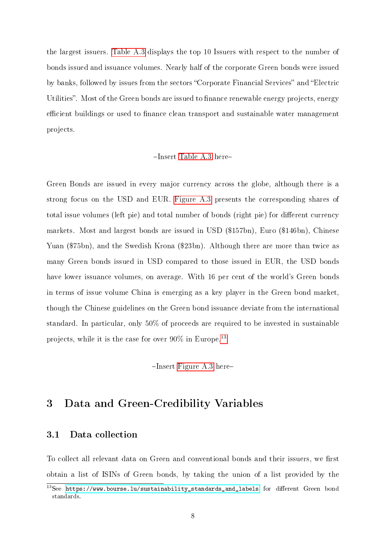the largest issuers. [Table A.3](#page-29-0) displays the top 10 Issuers with respect to the number of bonds issued and issuance volumes. Nearly half of the corporate Green bonds were issued by banks, followed by issues from the sectors "Corporate Financial Services" and "Electric Utilities". Most of the Green bonds are issued to finance renewable energy projects, energy efficient buildings or used to finance clean transport and sustainable water management projects.

#### $-$ Insert [Table A.3](#page-29-0) here-

Green Bonds are issued in every major currency across the globe, although there is a strong focus on the USD and EUR. [Figure A.3](#page-29-1) presents the corresponding shares of total issue volumes (left pie) and total number of bonds (right pie) for different currency markets. Most and largest bonds are issued in USD (\$157bn), Euro (\$146bn), Chinese Yuan (\$75bn), and the Swedish Krona (\$23bn). Although there are more than twice as many Green bonds issued in USD compared to those issued in EUR, the USD bonds have lower issuance volumes, on average. With 16 per cent of the world's Green bonds in terms of issue volume China is emerging as a key player in the Green bond market, though the Chinese guidelines on the Green bond issuance deviate from the international standard. In particular, only 50% of proceeds are required to be invested in sustainable projects, while it is the case for over  $90\%$  in Europe.<sup>[13](#page-8-0)</sup>

 $-$ Insert [Figure A.3](#page-29-1) here-

# 3 Data and Green-Credibility Variables

#### 3.1 Data collection

To collect all relevant data on Green and conventional bonds and their issuers, we first obtain a list of ISINs of Green bonds, by taking the union of a list provided by the

<span id="page-8-0"></span> $13$ See [https://www.bourse.lu/sustainability\\_standards\\_and\\_labels](https://www.bourse.lu/sustainability_standards_and_labels) for different Green bond standards.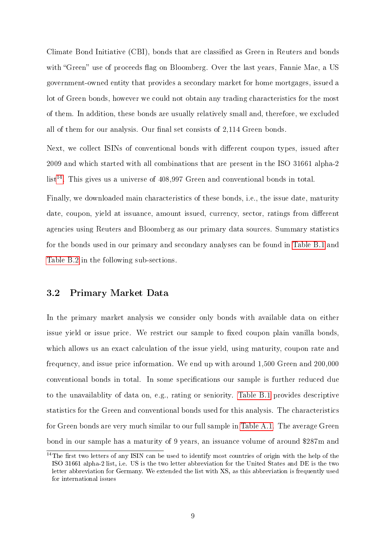Climate Bond Initiative (CBI), bonds that are classied as Green in Reuters and bonds with "Green" use of proceeds flag on Bloomberg. Over the last years, Fannie Mae, a US government-owned entity that provides a secondary market for home mortgages, issued a lot of Green bonds, however we could not obtain any trading characteristics for the most of them. In addition, these bonds are usually relatively small and, therefore, we excluded all of them for our analysis. Our final set consists of 2,114 Green bonds.

Next, we collect ISINs of conventional bonds with different coupon types, issued after 2009 and which started with all combinations that are present in the ISO 31661 alpha-2  $list^{14}$  $list^{14}$  $list^{14}$ . This gives us a universe of 408,997 Green and conventional bonds in total.

Finally, we downloaded main characteristics of these bonds, i.e., the issue date, maturity date, coupon, yield at issuance, amount issued, currency, sector, ratings from different agencies using Reuters and Bloomberg as our primary data sources. Summary statistics for the bonds used in our primary and secondary analyses can be found in [Table B.1](#page-30-0) and [Table B.2](#page-31-0) in the following sub-sections.

#### 3.2 Primary Market Data

In the primary market analysis we consider only bonds with available data on either issue yield or issue price. We restrict our sample to fixed coupon plain vanilla bonds, which allows us an exact calculation of the issue yield, using maturity, coupon rate and frequency, and issue price information. We end up with around 1,500 Green and 200,000 conventional bonds in total. In some specifications our sample is further reduced due to the unavailablity of data on, e.g., rating or seniority. [Table B.1](#page-30-0) provides descriptive statistics for the Green and conventional bonds used for this analysis. The characteristics for Green bonds are very much similar to our full sample in [Table A.1.](#page-27-1) The average Green bond in our sample has a maturity of 9 years, an issuance volume of around \$287m and

<span id="page-9-0"></span> $14$ The first two letters of any ISIN can be used to identify most countries of origin with the help of the ISO 31661 alpha-2 list, i.e. US is the two letter abbreviation for the United States and DE is the two letter abbreviation for Germany. We extended the list with XS, as this abbreviation is frequently used for international issues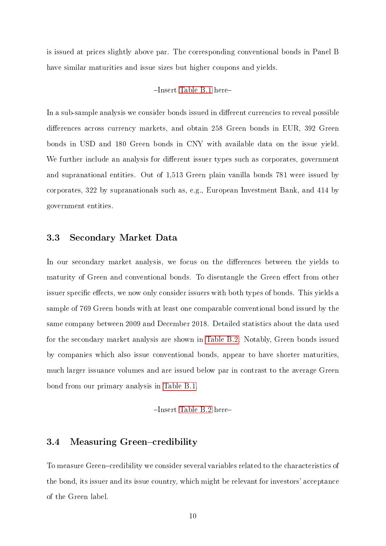is issued at prices slightly above par. The corresponding conventional bonds in Panel B have similar maturities and issue sizes but higher coupons and yields.

#### -Insert [Table B.1](#page-30-0) here-

In a sub-sample analysis we consider bonds issued in different currencies to reveal possible differences across currency markets, and obtain 258 Green bonds in EUR, 392 Green bonds in USD and 180 Green bonds in CNY with available data on the issue yield. We further include an analysis for different issuer types such as corporates, government and supranational entities. Out of 1,513 Green plain vanilla bonds 781 were issued by corporates, 322 by supranationals such as, e.g., European Investment Bank, and 414 by government entities.

## 3.3 Secondary Market Data

In our secondary market analysis, we focus on the differences between the yields to maturity of Green and conventional bonds. To disentangle the Green effect from other issuer specific effects, we now only consider issuers with both types of bonds. This yields a sample of 769 Green bonds with at least one comparable conventional bond issued by the same company between 2009 and December 2018. Detailed statistics about the data used for the secondary market analysis are shown in [Table B.2.](#page-31-0) Notably, Green bonds issued by companies which also issue conventional bonds, appear to have shorter maturities, much larger issuance volumes and are issued below par in contrast to the average Green bond from our primary analysis in [Table B.1.](#page-30-0)

-Insert [Table B.2](#page-31-0) here-

#### <span id="page-10-0"></span>3.4 Measuring Green–credibility

To measure Green–credibility we consider several variables related to the characteristics of the bond, its issuer and its issue country, which might be relevant for investors' acceptance of the Green label.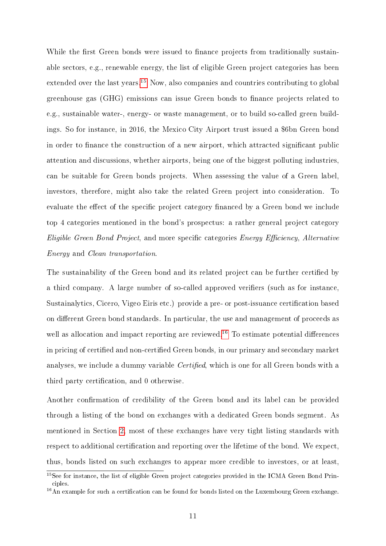While the first Green bonds were issued to finance projects from traditionally sustainable sectors, e.g., renewable energy, the list of eligible Green project categories has been extended over the last years.<sup>[15](#page-11-0)</sup> Now, also companies and countries contributing to global greenhouse gas (GHG) emissions can issue Green bonds to finance projects related to e.g., sustainable water-, energy- or waste management, or to build so-called green buildings. So for instance, in 2016, the Mexico City Airport trust issued a \$6bn Green bond in order to finance the construction of a new airport, which attracted significant public attention and discussions, whether airports, being one of the biggest polluting industries, can be suitable for Green bonds projects. When assessing the value of a Green label, investors, therefore, might also take the related Green project into consideration. To evaluate the effect of the specific project category financed by a Green bond we include top 4 categories mentioned in the bond's prospectus: a rather general project category  $E$ ligible Green Bond Project, and more specific categories Energy Efficiency, Alternative Energy and Clean transportation.

The sustainability of the Green bond and its related project can be further certified by a third company. A large number of so-called approved verifiers (such as for instance, Sustainalytics, Cicero, Vigeo Eiris etc.) provide a pre- or post-issuance certification based on different Green bond standards. In particular, the use and management of proceeds as well as allocation and impact reporting are reviewed.<sup>[16](#page-11-1)</sup> To estimate potential differences in pricing of certified and non-certified Green bonds, in our primary and secondary market analyses, we include a dummy variable *Certified*, which is one for all Green bonds with a third party certification, and 0 otherwise.

Another confirmation of credibility of the Green bond and its label can be provided through a listing of the bond on exchanges with a dedicated Green bonds segment. As mentioned in Section [2,](#page-6-1) most of these exchanges have very tight listing standards with respect to additional certification and reporting over the lifetime of the bond. We expect, thus, bonds listed on such exchanges to appear more credible to investors, or at least,

<span id="page-11-0"></span><sup>&</sup>lt;sup>15</sup>See for instance, the list of eligible Green project categories provided in the ICMA Green Bond Principles.

<span id="page-11-1"></span> $16$ An example for such a certification can be found for bonds listed on the Luxembourg Green exchange.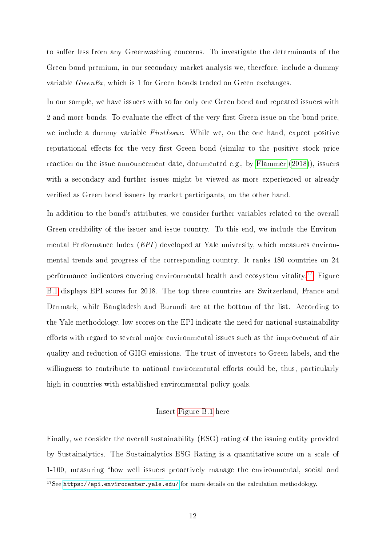to suffer less from any Greenwashing concerns. To investigate the determinants of the Green bond premium, in our secondary market analysis we, therefore, include a dummy variable GreenEx, which is 1 for Green bonds traded on Green exchanges.

In our sample, we have issuers with so far only one Green bond and repeated issuers with 2 and more bonds. To evaluate the effect of the very first Green issue on the bond price, we include a dummy variable *FirstIssue*. While we, on the one hand, expect positive reputational effects for the very first Green bond (similar to the positive stock price reaction on the issue announcement date, documented e.g., by [Flammer](#page-25-7) [\(2018\)](#page-25-7)), issuers with a secondary and further issues might be viewed as more experienced or already verified as Green bond issuers by market participants, on the other hand.

In addition to the bond's attributes, we consider further variables related to the overall Green-credibility of the issuer and issue country. To this end, we include the Environmental Performance Index (EPI) developed at Yale university, which measures environmental trends and progress of the corresponding country. It ranks 180 countries on 24 performance indicators covering environmental health and ecosystem vitality.[17](#page-12-0) Figure [B.1](#page-30-1) displays EPI scores for 2018. The top three countries are Switzerland, France and Denmark, while Bangladesh and Burundi are at the bottom of the list. According to the Yale methodology, low scores on the EPI indicate the need for national sustainability efforts with regard to several major environmental issues such as the improvement of air quality and reduction of GHG emissions. The trust of investors to Green labels, and the willingness to contribute to national environmental efforts could be, thus, particularly high in countries with established environmental policy goals.

#### $-$ Insert [Figure B.1](#page-30-1) here-

Finally, we consider the overall sustainability (ESG) rating of the issuing entity provided by Sustainalytics. The Sustainalytics ESG Rating is a quantitative score on a scale of 1-100, measuring "how well issuers proactively manage the environmental, social and

<span id="page-12-0"></span><sup>&</sup>lt;sup>17</sup>See <https://epi.envirocenter.yale.edu/> for more details on the calculation methodology.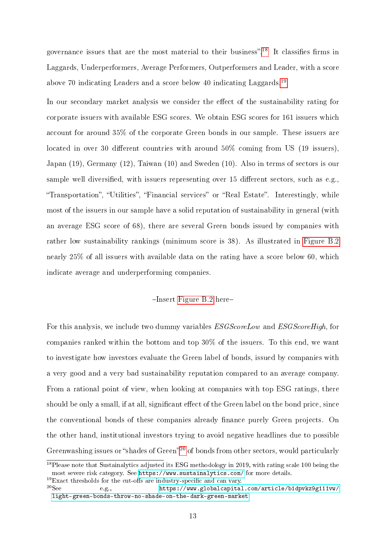governance issues that are the most material to their business".<sup>[18](#page-13-0)</sup> It classifies firms in Laggards, Underperformers, Average Performers, Outperformers and Leader, with a score above 70 indicating Leaders and a score below 40 indicating Laggards.<sup>[19](#page-13-1)</sup>

In our secondary market analysis we consider the effect of the sustainability rating for corporate issuers with available ESG scores. We obtain ESG scores for 161 issuers which account for around 35% of the corporate Green bonds in our sample. These issuers are located in over 30 different countries with around  $50\%$  coming from US (19 issuers), Japan (19), Germany (12), Taiwan (10) and Sweden (10). Also in terms of sectors is our sample well diversified, with issuers representing over 15 different sectors, such as e.g., "Transportation", "Utilities", "Financial services" or "Real Estate". Interestingly, while most of the issuers in our sample have a solid reputation of sustainability in general (with an average ESG score of 68), there are several Green bonds issued by companies with rather low sustainability rankings (minimum score is 38). As illustrated in [Figure B.2](#page-31-1) nearly 25% of all issuers with available data on the rating have a score below 60, which indicate average and underperforming companies.

#### $-$ Insert [Figure B.2](#page-31-1) here-

For this analysis, we include two dummy variables  $ESGScoreLow$  and  $ESGScoreHigh$ , for companies ranked within the bottom and top 30% of the issuers. To this end, we want to investigate how investors evaluate the Green label of bonds, issued by companies with a very good and a very bad sustainability reputation compared to an average company. From a rational point of view, when looking at companies with top ESG ratings, there should be only a small, if at all, significant effect of the Green label on the bond price, since the conventional bonds of these companies already finance purely Green projects. On the other hand, institutional investors trying to avoid negative headlines due to possible Greenwashing issues or "shades of Green"<sup>[20](#page-13-2)</sup> of bonds from other sectors, would particularly

<span id="page-13-0"></span><sup>&</sup>lt;sup>18</sup>Please note that Sustainalytics adjusted its ESG methodology in 2019, with rating scale 100 being the most severe risk category. See <https://www.sustainalytics.com/> for more details.

<span id="page-13-1"></span><sup>&</sup>lt;sup>19</sup>Exact thresholds for the cut-offs are industry-specific and can vary.<br><sup>20</sup>See **https://www.globalcapital** 

<span id="page-13-2"></span>e.g., [https://www.globalcapital.com/article/b1dpvkz9g111vw/](https://www.globalcapital.com/article/b1dpvkz9g111vw/light-green-bonds-throw-no-shade-on-the-dark-green-market) [light-green-bonds-throw-no-shade-on-the-dark-green-market](https://www.globalcapital.com/article/b1dpvkz9g111vw/light-green-bonds-throw-no-shade-on-the-dark-green-market)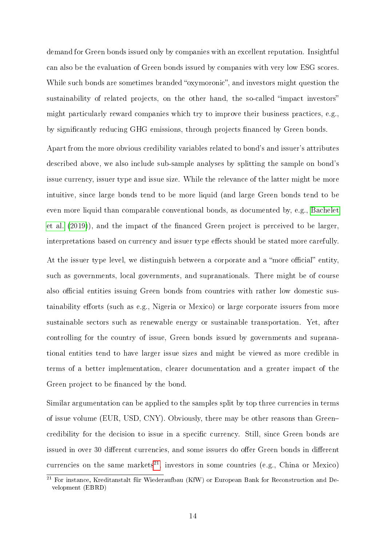demand for Green bonds issued only by companies with an excellent reputation. Insightful can also be the evaluation of Green bonds issued by companies with very low ESG scores. While such bonds are sometimes branded "oxymoronic", and investors might question the sustainability of related projects, on the other hand, the so-called "impact investors" might particularly reward companies which try to improve their business practices, e.g., by significantly reducing GHG emissions, through projects financed by Green bonds.

Apart from the more obvious credibility variables related to bond's and issuer's attributes described above, we also include sub-sample analyses by splitting the sample on bond's issue currency, issuer type and issue size. While the relevance of the latter might be more intuitive, since large bonds tend to be more liquid (and large Green bonds tend to be even more liquid than comparable conventional bonds, as documented by, e.g., [Bachelet](#page-25-14) [et al.](#page-25-14)  $(2019)$ , and the impact of the financed Green project is perceived to be larger, interpretations based on currency and issuer type effects should be stated more carefully. At the issuer type level, we distinguish between a corporate and a "more official" entity, such as governments, local governments, and supranationals. There might be of course also official entities issuing Green bonds from countries with rather low domestic sustainability efforts (such as e.g., Nigeria or Mexico) or large corporate issuers from more sustainable sectors such as renewable energy or sustainable transportation. Yet, after controlling for the country of issue, Green bonds issued by governments and supranational entities tend to have larger issue sizes and might be viewed as more credible in terms of a better implementation, clearer documentation and a greater impact of the Green project to be financed by the bond.

Similar argumentation can be applied to the samples split by top three currencies in terms of issue volume (EUR, USD, CNY). Obviously, there may be other reasons than Green credibility for the decision to issue in a specific currency. Still, since Green bonds are issued in over 30 different currencies, and some issuers do offer Green bonds in different currencies on the same markets<sup>[21](#page-14-0)</sup>, investors in some countries (e.g., China or Mexico)

<span id="page-14-0"></span><sup>21</sup> For instance, Kreditanstalt für Wiederaufbau (KfW) or European Bank for Reconstruction and Development (EBRD)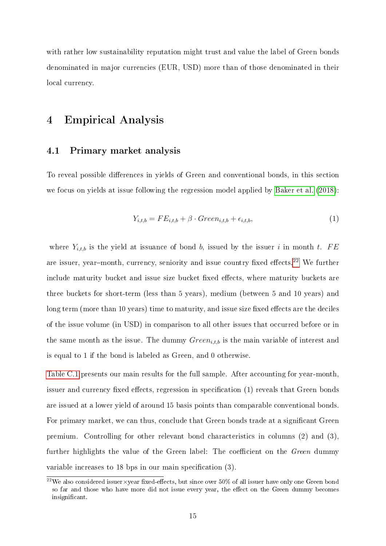with rather low sustainability reputation might trust and value the label of Green bonds denominated in major currencies (EUR, USD) more than of those denominated in their local currency.

## 4 Empirical Analysis

#### <span id="page-15-2"></span>4.1 Primary market analysis

To reveal possible differences in yields of Green and conventional bonds, in this section we focus on yields at issue following the regression model applied by [Baker et al.](#page-25-9) [\(2018\)](#page-25-9):

<span id="page-15-1"></span>
$$
Y_{i,t,b} = FE_{i,t,b} + \beta \cdot Green_{i,t,b} + \epsilon_{i,t,b},\tag{1}
$$

where  $Y_{i,t,b}$  is the yield at issuance of bond b, issued by the issuer i in month t. FE are issuer, year-month, currency, seniority and issue country fixed effects.<sup>[22](#page-15-0)</sup> We further include maturity bucket and issue size bucket fixed effects, where maturity buckets are three buckets for short-term (less than 5 years), medium (between 5 and 10 years) and long term (more than 10 years) time to maturity, and issue size fixed effects are the deciles of the issue volume (in USD) in comparison to all other issues that occurred before or in the same month as the issue. The dummy  $Green_{i,t,b}$  is the main variable of interest and is equal to 1 if the bond is labeled as Green, and 0 otherwise.

[Table C.1](#page-32-0) presents our main results for the full sample. After accounting for year-month, issuer and currency fixed effects, regression in specification (1) reveals that Green bonds are issued at a lower yield of around 15 basis points than comparable conventional bonds. For primary market, we can thus, conclude that Green bonds trade at a significant Green premium. Controlling for other relevant bond characteristics in columns (2) and (3), further highlights the value of the Green label: The coefficient on the  $Green$  dummy variable increases to 18 bps in our main specification  $(3)$ .

<span id="page-15-0"></span><sup>&</sup>lt;sup>22</sup>We also considered issuer×year fixed-effects, but since over 50% of all issuer have only one Green bond so far and those who have more did not issue every year, the effect on the Green dummy becomes insignificant.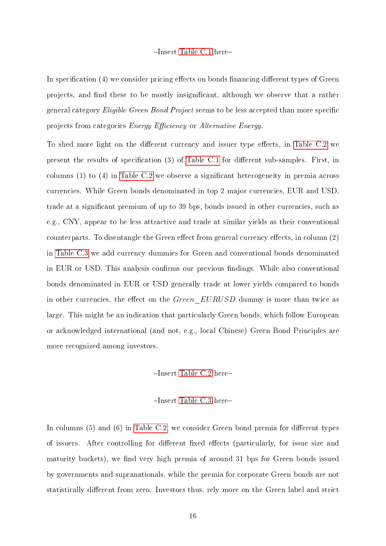#### -Insert [Table C.1](#page-32-0) here-

In specification (4) we consider pricing effects on bonds financing different types of Green projects, and find these to be mostly insignificant, although we observe that a rather general category *Eligible Green Bond Project* seems to be less accepted than more specific projects from categories *Energy Efficiency* or *Alternative Energy*.

To shed more light on the different currency and issuer type effects, in [Table C.2](#page-33-0) we present the results of specification  $(3)$  of [Table C.1](#page-32-0) for different sub-samples. First, in columns  $(1)$  to  $(4)$  in [Table C.2](#page-33-0) we observe a significant heterogeneity in premia across currencies. While Green bonds denominated in top 2 major currencies, EUR and USD, trade at a significant premium of up to 39 bps, bonds issued in other currencies, such as e.g., CNY, appear to be less attractive and trade at similar yields as their conventional counterparts. To disentangle the Green effect from general currency effects, in column  $(2)$ in [Table C.3](#page-34-0) we add currency dummies for Green and conventional bonds denominated in EUR or USD. This analysis confirms our previous findings. While also conventional bonds denominated in EUR or USD generally trade at lower yields compared to bonds in other currencies, the effect on the *Green\_EURUSD* dummy is more than twice as large. This might be an indication that particularly Green bonds, which follow European or acknowledged international (and not, e.g., local Chinese) Green Bond Principles are more recognized among investors.

#### -Insert [Table C.2](#page-33-0) here-

#### -Insert [Table C.3](#page-34-0) here-

In columns  $(5)$  and  $(6)$  in [Table C.2,](#page-33-0) we consider Green bond premia for different types of issuers. After controlling for different fixed effects (particularly, for issue size and maturity buckets), we find very high premia of around 31 bps for Green bonds issued by governments and supranationals, while the premia for corporate Green bonds are not statistically different from zero. Investors thus, rely more on the Green label and strict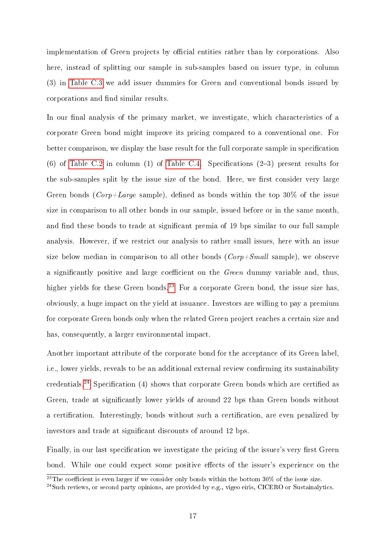implementation of Green projects by official entities rather than by corporations. Also here, instead of splitting our sample in sub-samples based on issuer type, in column (3) in [Table C.3](#page-34-0) we add issuer dummies for Green and conventional bonds issued by corporations and find similar results.

In our final analysis of the primary market, we investigate, which characteristics of a corporate Green bond might improve its pricing compared to a conventional one. For better comparison, we display the base result for the full corporate sample in specification  $(6)$  of [Table C.2](#page-33-0) in column  $(1)$  of [Table C.4.](#page-35-0) Specifications  $(2-3)$  present results for the sub-samples split by the issue size of the bond. Here, we first consider very large Green bonds ( $Corp+Large$  sample), defined as bonds within the top 30% of the issue size in comparison to all other bonds in our sample, issued before or in the same month, and find these bonds to trade at significant premia of 19 bps similar to our full sample analysis. However, if we restrict our analysis to rather small issues, here with an issue size below median in comparison to all other bonds  $(Corp + Small$  sample), we observe a significantly positive and large coefficient on the  $Green$  dummy variable and, thus, higher yields for these Green bonds.<sup>[23](#page-17-0)</sup> For a corporate Green bond, the issue size has, obviously, a huge impact on the yield at issuance. Investors are willing to pay a premium for corporate Green bonds only when the related Green project reaches a certain size and has, consequently, a larger environmental impact.

Another important attribute of the corporate bond for the acceptance of its Green label, i.e., lower yields, reveals to be an additional external review confirming its sustainability credentials.<sup>[24](#page-17-1)</sup> Specification (4) shows that corporate Green bonds which are certified as Green, trade at significantly lower yields of around 22 bps than Green bonds without a certification. Interestingly, bonds without such a certification, are even penalized by investors and trade at significant discounts of around 12 bps.

Finally, in our last specification we investigate the pricing of the issuer's very first Green bond. While one could expect some positive effects of the issuer's experience on the

<span id="page-17-0"></span><sup>&</sup>lt;sup>23</sup>The coefficient is even larger if we consider only bonds within the bottom  $30\%$  of the issue size.

<span id="page-17-1"></span><sup>&</sup>lt;sup>24</sup>Such reviews, or second party opinions, are provided by e.g., vigeo eiris, CICERO or Sustainalytics.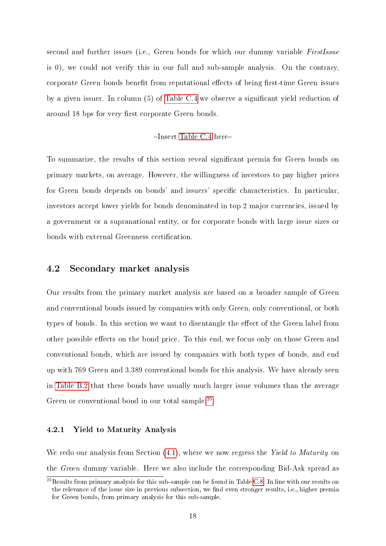second and further issues (i.e., Green bonds for which our dummy variable FirstIssue is 0), we could not verify this in our full and sub-sample analysis. On the contrary, corporate Green bonds benefit from reputational effects of being first-time Green issues by a given issuer. In column (5) of [Table C.4](#page-35-0) we observe a signicant yield reduction of around 18 bps for very first corporate Green bonds.

#### -Insert [Table C.4](#page-35-0) here-

To summarize, the results of this section reveal significant premia for Green bonds on primary markets, on average. However, the willingness of investors to pay higher prices for Green bonds depends on bonds' and issuers' specific characteristics. In particular, investors accept lower yields for bonds denominated in top 2 major currencies, issued by a government or a supranational entity, or for corporate bonds with large issue sizes or bonds with external Greenness certification.

### 4.2 Secondary market analysis

Our results from the primary market analysis are based on a broader sample of Green and conventional bonds issued by companies with only Green, only conventional, or both types of bonds. In this section we want to disentangle the effect of the Green label from other possible effects on the bond price. To this end, we focus only on those Green and conventional bonds, which are issued by companies with both types of bonds, and end up with 769 Green and 3,389 conventional bonds for this analysis. We have already seen in [Table B.2](#page-31-0) that these bonds have usually much larger issue volumes than the average Green or conventional bond in our total sample.<sup>[25](#page-18-0)</sup>

#### 4.2.1 Yield to Maturity Analysis

We redo our analysis from Section  $(4.1)$ , where we now regress the Yield to Maturity on the Green dummy variable. Here we also include the corresponding Bid-Ask spread as

<span id="page-18-0"></span><sup>&</sup>lt;sup>25</sup>Results from primary analysis for this sub-sample can be found in Table [C.8.](#page-40-0) In line with our results on the relevance of the issue size in previous subsection, we find even stronger results, i.e., higher premia for Green bonds, from primary analysis for this sub-sample.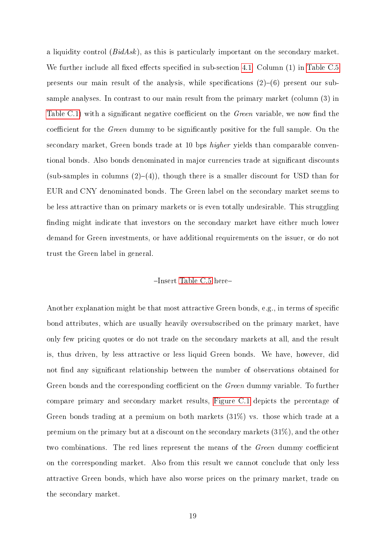a liquidity control  $(BidAsk)$ , as this is particularly important on the secondary market. We further include all fixed effects specified in sub-section [4.1.](#page-15-2) Column  $(1)$  in [Table C.5](#page-36-0) presents our main result of the analysis, while specifications  $(2)-(6)$  present our subsample analyses. In contrast to our main result from the primary market (column (3) in [Table C.1\)](#page-32-0) with a significant negative coefficient on the *Green* variable, we now find the coefficient for the *Green* dummy to be significantly positive for the full sample. On the secondary market, Green bonds trade at 10 bps *higher* yields than comparable conventional bonds. Also bonds denominated in major currencies trade at signicant discounts (sub-samples in columns  $(2)-(4)$ ), though there is a smaller discount for USD than for EUR and CNY denominated bonds. The Green label on the secondary market seems to be less attractive than on primary markets or is even totally undesirable. This struggling finding might indicate that investors on the secondary market have either much lower demand for Green investments, or have additional requirements on the issuer, or do not trust the Green label in general.

#### $-$ Insert [Table C.5](#page-36-0) here-

Another explanation might be that most attractive Green bonds, e.g., in terms of specific bond attributes, which are usually heavily oversubscribed on the primary market, have only few pricing quotes or do not trade on the secondary markets at all, and the result is, thus driven, by less attractive or less liquid Green bonds. We have, however, did not find any significant relationship between the number of observations obtained for Green bonds and the corresponding coefficient on the *Green* dummy variable. To further compare primary and secondary market results, [Figure C.1](#page-37-0) depicts the percentage of Green bonds trading at a premium on both markets (31%) vs. those which trade at a premium on the primary but at a discount on the secondary markets (31%), and the other two combinations. The red lines represent the means of the *Green* dummy coefficient on the corresponding market. Also from this result we cannot conclude that only less attractive Green bonds, which have also worse prices on the primary market, trade on the secondary market.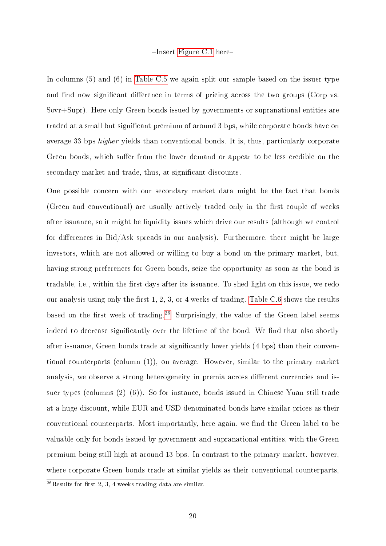#### $-$ Insert [Figure C.1](#page-37-0) here-

In columns (5) and (6) in [Table C.5](#page-36-0) we again split our sample based on the issuer type and find now significant difference in terms of pricing across the two groups (Corp vs. Sovr+Supr). Here only Green bonds issued by governments or supranational entities are traded at a small but significant premium of around 3 bps, while corporate bonds have on average 33 bps higher yields than conventional bonds. It is, thus, particularly corporate Green bonds, which suffer from the lower demand or appear to be less credible on the secondary market and trade, thus, at significant discounts.

One possible concern with our secondary market data might be the fact that bonds (Green and conventional) are usually actively traded only in the first couple of weeks after issuance, so it might be liquidity issues which drive our results (although we control for differences in Bid/Ask spreads in our analysis). Furthermore, there might be large investors, which are not allowed or willing to buy a bond on the primary market, but, having strong preferences for Green bonds, seize the opportunity as soon as the bond is tradable, i.e., within the first days after its issuance. To shed light on this issue, we redo our analysis using only the first  $1, 2, 3$ , or 4 weeks of trading. [Table C.6](#page-38-0) shows the results based on the first week of trading.<sup>[26](#page-20-0)</sup> Surprisingly, the value of the Green label seems indeed to decrease significantly over the lifetime of the bond. We find that also shortly after issuance, Green bonds trade at significantly lower yields (4 bps) than their conventional counterparts (column (1)), on average. However, similar to the primary market analysis, we observe a strong heterogeneity in premia across different currencies and issuer types (columns  $(2)-(6)$ ). So for instance, bonds issued in Chinese Yuan still trade at a huge discount, while EUR and USD denominated bonds have similar prices as their conventional counterparts. Most importantly, here again, we find the Green label to be valuable only for bonds issued by government and supranational entities, with the Green premium being still high at around 13 bps. In contrast to the primary market, however, where corporate Green bonds trade at similar yields as their conventional counterparts,

<span id="page-20-0"></span> $26$ Results for first 2, 3, 4 weeks trading data are similar.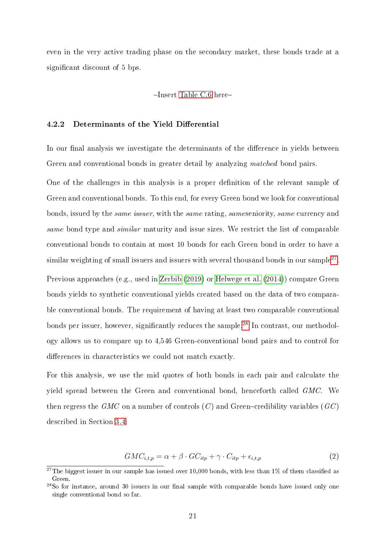even in the very active trading phase on the secondary market, these bonds trade at a significant discount of 5 bps.

#### -Insert [Table C.6](#page-38-0) here-

#### 4.2.2 Determinants of the Yield Differential

In our final analysis we investigate the determinants of the difference in yields between Green and conventional bonds in greater detail by analyzing *matched* bond pairs.

One of the challenges in this analysis is a proper definition of the relevant sample of Green and conventional bonds. To this end, for every Green bond we look for conventional bonds, issued by the same issuer, with the same rating, sameseniority, same currency and same bond type and *similar* maturity and issue sizes. We restrict the list of comparable conventional bonds to contain at most 10 bonds for each Green bond in order to have a similar weighting of small issuers and issuers with several thousand bonds in our sample $^{27}.$  $^{27}.$  $^{27}.$ Previous approaches (e.g., used in [Zerbib](#page-26-4) [\(2019\)](#page-26-4) or [Helwege et al.](#page-25-15) [\(2014\)](#page-25-15)) compare Green bonds yields to synthetic conventional yields created based on the data of two comparable conventional bonds. The requirement of having at least two comparable conventional bonds per issuer, however, significantly reduces the sample.<sup>[28](#page-21-1)</sup> In contrast, our methodology allows us to compare up to 4,546 Green-conventional bond pairs and to control for differences in characteristics we could not match exactly.

For this analysis, we use the mid quotes of both bonds in each pair and calculate the yield spread between the Green and conventional bond, henceforth called GMC. We then regress the GMC on a number of controls  $(C)$  and Green-credibility variables  $(GC)$ described in Section [3.4:](#page-10-0)

$$
GMC_{i,t,p} = \alpha + \beta \cdot GC_{itp} + \gamma \cdot C_{itp} + \epsilon_{i,t,p}
$$
\n
$$
\tag{2}
$$

<span id="page-21-0"></span><sup>&</sup>lt;sup>27</sup>The biggest issuer in our sample has issued over 10,000 bonds, with less than 1% of them classified as Green.

<span id="page-21-1"></span> $^{28}$ So for instance, around 30 issuers in our final sample with comparable bonds have issued only one single conventional bond so far.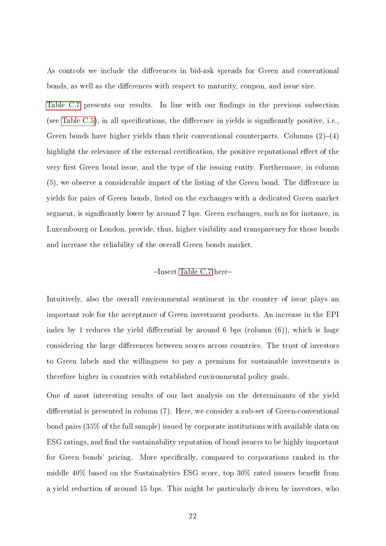As controls we include the differences in bid-ask spreads for Green and conventional bonds, as well as the differences with respect to maturity, coupon, and issue size.

[Table C.7](#page-39-0) presents our results. In line with our findings in the previous subsection (see Table  $C.5$ ), in all specifications, the difference in yields is significantly positive, i.e., Green bonds have higher yields than their conventional counterparts. Columns  $(2)-(4)$ highlight the relevance of the external certification, the positive reputational effect of the very first Green bond issue, and the type of the issuing entity. Furthermore, in column  $(5)$ , we observe a considerable impact of the listing of the Green bond. The difference in yields for pairs of Green bonds, listed on the exchanges with a dedicated Green market segment, is significantly lower by around 7 bps. Green exchanges, such as for instance, in Luxembourg or London, provide, thus, higher visibility and transparency for those bonds and increase the reliability of the overall Green bonds market.

#### -Insert [Table C.7](#page-39-0) here-

Intuitively, also the overall environmental sentiment in the country of issue plays an important role for the acceptance of Green investment products. An increase in the EPI index by 1 reduces the yield differential by around 6 bps (column  $(6)$ ), which is huge considering the large differences between scores across countries. The trust of investors to Green labels and the willingness to pay a premium for sustainable investments is therefore higher in countries with established environmental policy goals.

One of most interesting results of our last analysis on the determinants of the yield differential is presented in column  $(7)$ . Here, we consider a sub-set of Green-conventional bond pairs (35% of the full sample) issued by corporate institutions with available data on ESG ratings, and find the sustainability reputation of bond issuers to be highly important for Green bonds' pricing. More specifically, compared to corporations ranked in the middle  $40\%$  based on the Sustainalytics ESG score, top  $30\%$  rated issuers benefit from a yield reduction of around 15 bps. This might be particularly driven by investors, who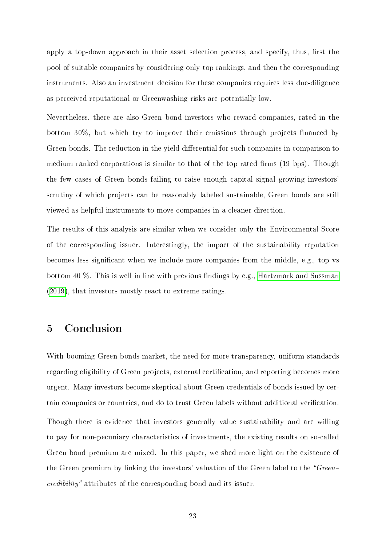apply a top-down approach in their asset selection process, and specify, thus, first the pool of suitable companies by considering only top rankings, and then the corresponding instruments. Also an investment decision for these companies requires less due-diligence as perceived reputational or Greenwashing risks are potentially low.

Nevertheless, there are also Green bond investors who reward companies, rated in the bottom  $30\%$ , but which try to improve their emissions through projects financed by Green bonds. The reduction in the yield differential for such companies in comparison to medium ranked corporations is similar to that of the top rated firms (19 bps). Though the few cases of Green bonds failing to raise enough capital signal growing investors' scrutiny of which projects can be reasonably labeled sustainable, Green bonds are still viewed as helpful instruments to move companies in a cleaner direction.

The results of this analysis are similar when we consider only the Environmental Score of the corresponding issuer. Interestingly, the impact of the sustainability reputation becomes less signicant when we include more companies from the middle, e.g., top vs bottom 40 %. This is well in line with previous findings by e.g., [Hartzmark and Sussman](#page-25-2) [\(2019\)](#page-25-2), that investors mostly react to extreme ratings.

## 5 Conclusion

With booming Green bonds market, the need for more transparency, uniform standards regarding eligibility of Green projects, external certification, and reporting becomes more urgent. Many investors become skeptical about Green credentials of bonds issued by certain companies or countries, and do to trust Green labels without additional verification. Though there is evidence that investors generally value sustainability and are willing to pay for non-pecuniary characteristics of investments, the existing results on so-called Green bond premium are mixed. In this paper, we shed more light on the existence of the Green premium by linking the investors' valuation of the Green label to the "Greencredibility" attributes of the corresponding bond and its issuer.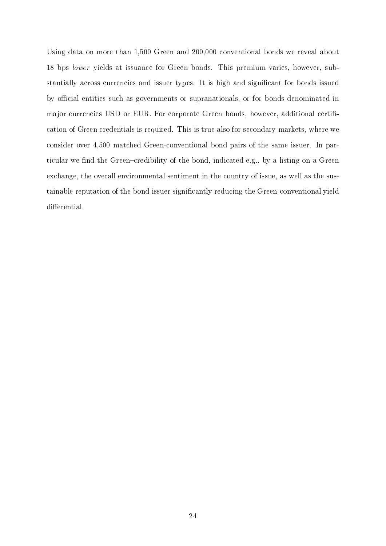Using data on more than 1,500 Green and 200,000 conventional bonds we reveal about 18 bps lower yields at issuance for Green bonds. This premium varies, however, substantially across currencies and issuer types. It is high and significant for bonds issued by official entities such as governments or supranationals, or for bonds denominated in major currencies USD or EUR. For corporate Green bonds, however, additional certification of Green credentials is required. This is true also for secondary markets, where we consider over 4,500 matched Green-conventional bond pairs of the same issuer. In particular we find the Green-credibility of the bond, indicated e.g., by a listing on a Green exchange, the overall environmental sentiment in the country of issue, as well as the sustainable reputation of the bond issuer signicantly reducing the Green-conventional yield differential.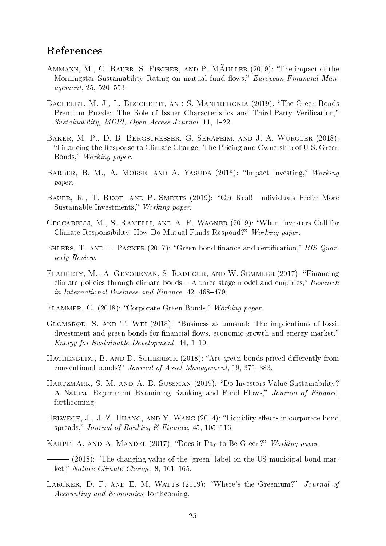# References

- <span id="page-25-4"></span>AMMANN, M., C. BAUER, S. FISCHER, AND P. MAIJLLER (2019): "The impact of the Morningstar Sustainability Rating on mutual fund flows," European Financial Man $agent, 25, 520 - 553.$
- <span id="page-25-14"></span>BACHELET, M. J., L. BECCHETTI, AND S. MANFREDONIA (2019): "The Green Bonds Premium Puzzle: The Role of Issuer Characteristics and Third-Party Verification,"  $Sustainability, MDPI, Open Access Journal, 11, 1-22.$
- <span id="page-25-9"></span>Baker, M. P., D. B. Bergstresser, G. Serafeim, and J. A. Wurgler (2018): Financing the Response to Climate Change: The Pricing and Ownership of U.S. Green Bonds," Working paper.
- <span id="page-25-5"></span>BARBER, B. M., A. MORSE, AND A. YASUDA (2018): "Impact Investing," Working paper.
- <span id="page-25-6"></span>BAUER, R., T. RUOF, AND P. SMEETS (2019): "Get Real! Individuals Prefer More Sustainable Investments," Working paper.
- <span id="page-25-3"></span>Ceccarelli, M., S. Ramelli, and A. F. Wagner (2019): When Investors Call for Climate Responsibility, How Do Mutual Funds Respond?" Working paper.
- <span id="page-25-8"></span>EHLERS, T. AND F. PACKER (2017): "Green bond finance and certification," BIS Quarterly Review.
- <span id="page-25-1"></span>FLAHERTY, M., A. GEVORKYAN, S. RADPOUR, AND W. SEMMLER (2017): "Financing climate policies through climate bonds  $-A$  three stage model and empirics," Research in International Business and Finance,  $42, 468-479$ .
- <span id="page-25-7"></span>FLAMMER, C. (2018): "Corporate Green Bonds," Working paper.
- <span id="page-25-0"></span>GLOMSRØD, S. AND T. WEI (2018): "Business as unusual: The implications of fossil divestment and green bonds for financial flows, economic growth and energy market,"  $Energy for Sustainable Development, 44, 1-10.$
- <span id="page-25-11"></span>HACHENBERG, B. AND D. SCHIERECK (2018): "Are green bonds priced differently from conventional bonds?" Journal of Asset Management, 19, 371-383.
- <span id="page-25-2"></span>HARTZMARK, S. M. AND A. B. SUSSMAN (2019): "Do Investors Value Sustainability? A Natural Experiment Examining Ranking and Fund Flows," Journal of Finance, forthcoming.
- <span id="page-25-15"></span>HELWEGE, J., J.-Z. HUANG, AND Y. WANG  $(2014)$ : "Liquidity effects in corporate bond spreads," Journal of Banking & Finance, 45, 105-116.
- <span id="page-25-10"></span>KARPF, A. AND A. MANDEL (2017): "Does it Pay to Be Green?" Working paper.
- <span id="page-25-13"></span>- (2018): "The changing value of the 'green' label on the US municipal bond market," Nature Climate Change,  $8, 161-165$ .
- <span id="page-25-12"></span>LARCKER, D. F. AND E. M. WATTS  $(2019)$ : "Where's the Greenium?" Journal of Accounting and Economics, forthcoming.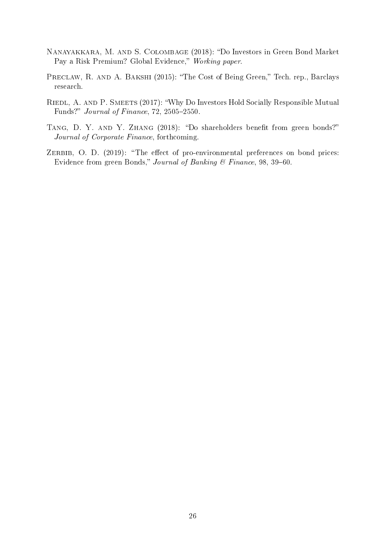- <span id="page-26-3"></span>NANAYAKKARA, M. AND S. COLOMBAGE (2018): "Do Investors in Green Bond Market Pay a Risk Premium? Global Evidence," Working paper.
- <span id="page-26-2"></span>PRECLAW, R. AND A. BAKSHI (2015): "The Cost of Being Green," Tech. rep., Barclays research.
- <span id="page-26-0"></span>RIEDL, A. AND P. SMEETS (2017): "Why Do Investors Hold Socially Responsible Mutual Funds?"  $Journal of Finance$ , 72, 2505-2550.
- <span id="page-26-1"></span>TANG, D. Y. AND Y. ZHANG (2018): "Do shareholders benefit from green bonds?" Journal of Corporate Finance, forthcoming.
- <span id="page-26-4"></span>ZERBIB, O. D.  $(2019)$ : "The effect of pro-environmental preferences on bond prices: Evidence from green Bonds," Journal of Banking & Finance, 98, 39-60.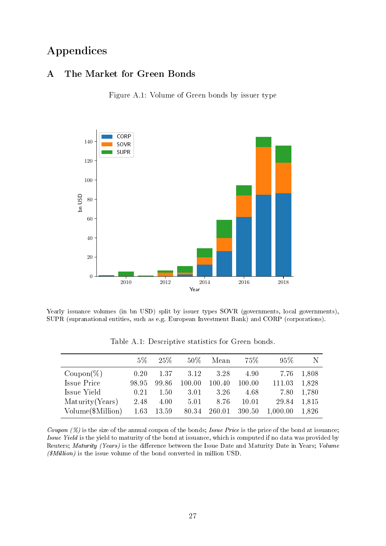# Appendices

## <span id="page-27-0"></span>A The Market for Green Bonds

Figure A.1: Volume of Green bonds by issuer type



Yearly issuance volumes (in bn USD) split by issuer types SOVR (governments, local governments), SUPR (supranational entities, such as e.g. European Investment Bank) and CORP (corporations).

<span id="page-27-1"></span>

|                       | $5\%$ | 25\%  | $50\%$ | Mean   | 75%    | $95\%$   | -N    |
|-----------------------|-------|-------|--------|--------|--------|----------|-------|
| $\mathrm{Coupon}(\%)$ | 0.20  | 1.37  | 3.12   | 3.28   | 4.90   | 7.76     | 1,808 |
| Issue Price           | 98.95 | 99.86 | 100.00 | 100.40 | 100.00 | 111.03   | 1,828 |
| Issue Yield           | 0.21  | 1.50  | 3.01   | 3.26   | 4.68   | 7.80     | 1,780 |
| Maturity (Years)      | 2.48  | 4.00  | 5.01   | 8.76   | 10.01  | 29.84    | 1,815 |
| Volume(\$Million)     | 1.63  | 13.59 | 80.34  | 260.01 | 390.50 | 1,000.00 | 1,826 |

Table A.1: Descriptive statistics for Green bonds.

Coupon  $(\%)$  is the size of the annual coupon of the bonds; Issue Price is the price of the bond at issuance; Issue Yield is the yield to maturity of the bond at issuance, which is computed if no data was provided by Reuters; Maturity (Years) is the difference between the Issue Date and Maturity Date in Years; Volume  $(\textit{SMillion})$  is the issue volume of the bond converted in million USD.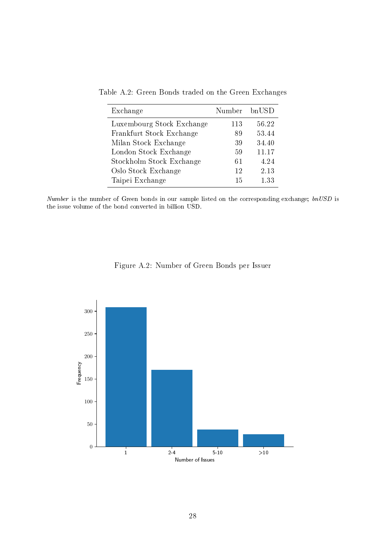| Exchange                  | Number bnUSD |       |
|---------------------------|--------------|-------|
| Luxembourg Stock Exchange | 113          | 56.22 |
| Frankfurt Stock Exchange  | 89           | 53.44 |
| Milan Stock Exchange      | 39           | 34.40 |
| London Stock Exchange     | 59           | 11.17 |
| Stockholm Stock Exchange  | 61           | 4.24  |
| Oslo Stock Exchange       | 12           | 2.13  |
| Taipei Exchange           | 15           | 1.33  |

<span id="page-28-0"></span>Table A.2: Green Bonds traded on the Green Exchanges

Number is the number of Green bonds in our sample listed on the corresponding exchange;  $bn\text{USD}$  is the issue volume of the bond converted in billion USD.



<span id="page-28-1"></span>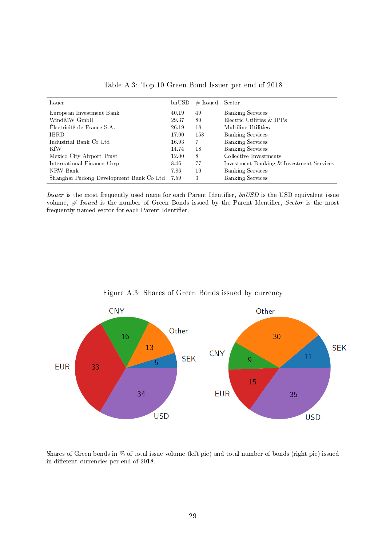<span id="page-29-0"></span>

| Issuer                                  | bnUSD | $\#$ Issued | Sector                                   |
|-----------------------------------------|-------|-------------|------------------------------------------|
| European Investment Bank                | 40.19 | 49          | <b>Banking Services</b>                  |
| WindMW GmbH                             | 29.37 | 80          | Electric Utilities & IPPs                |
| Électricité de France S.A.              | 26.19 | 18          | Multiline Utilities                      |
| <b>IBRD</b>                             | 17.00 | 158         | <b>Banking Services</b>                  |
| Industrial Bank Co Ltd                  | 16.93 | -7          | <b>Banking Services</b>                  |
| KfW                                     | 14.74 | 18          | <b>Banking Services</b>                  |
| Mexico City Airport Trust               | 12.00 | 8           | Collective Investments                   |
| International Finance Corp              | 8.46  | 77          | Investment Banking & Investment Services |
| NRW Bank                                | 7.86  | 10          | <b>Banking Services</b>                  |
| Shanghai Pudong Development Bank Co Ltd | 7.59  | 3           | <b>Banking Services</b>                  |

Table A.3: Top 10 Green Bond Issuer per end of 2018

Issuer is the most frequently used name for each Parent Identifier,  $lnUSD$  is the USD equivalent issue volume,  $#$  Issued is the number of Green Bonds issued by the Parent Identifier, Sector is the most  $\operatorname{frequently}$  named sector for each Parent Identifier.

<span id="page-29-1"></span>

Figure A.3: Shares of Green Bonds issued by currency

Shares of Green bonds in % of total issue volume (left pie) and total number of bonds (right pie) issued in different currencies per end of 2018.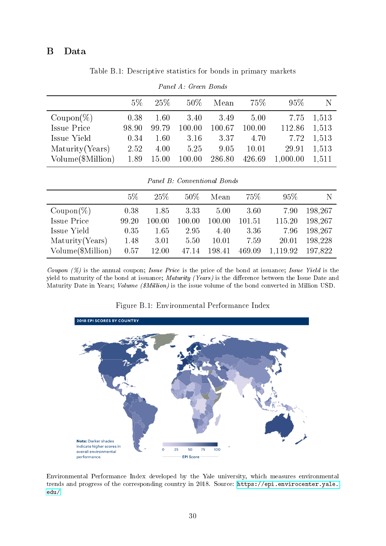## <span id="page-30-0"></span>B Data

Table B.1: Descriptive statistics for bonds in primary markets

|                       | $5\%$ | 25\%  | $50\%$ | Mean   | 75%    | 95%      | N     |
|-----------------------|-------|-------|--------|--------|--------|----------|-------|
| $\mathrm{Coupon}(\%)$ | 0.38  | 1.60  | 3.40   | 3.49   | 5.00   | 7.75     | 1,513 |
| Issue Price           | 98.90 | 99.79 | 100.00 | 100.67 | 100.00 | 112.86   | 1,513 |
| Issue Yield           | 0.34  | 1.60  | 3.16   | 3.37   | 4.70   | 7.72     | 1,513 |
| Maturity (Years)      | 2.52  | 4.00  | 5.25   | 9.05   | 10.01  | 29.91    | 1,513 |
| Volume(\$Million)     | 1.89  | 15.00 | 100.00 | 286.80 | 426.69 | 1,000.00 | 1,511 |

Panel A: Green Bonds

|                       | 5%    | 25%    | $50\%$ | Mean   | 75%    | 95%      | N       |
|-----------------------|-------|--------|--------|--------|--------|----------|---------|
| $\mathrm{Coupon}(\%)$ | 0.38  | 1.85   | 3.33   | 5.00   | 3.60   | 7.90     | 198,267 |
| Issue Price           | 99.20 | 100.00 | 100.00 | 100.00 | 101.51 | 115.20   | 198,267 |
| Issue Yield           | 0.35  | 1.65   | 2.95   | 4.40   | 3.36   | 7.96     | 198,267 |
| Maturity (Years)      | 1.48  | 3.01   | 5.50   | 10.01  | 7.59   | 20.01    | 198,228 |
| Volume(\$Million)     | 0.57  | 12.00  | 47.14  | 198.41 | 469.09 | 1,119.92 | 197,822 |

Coupon (%) is the annual coupon; Issue Price is the price of the bond at issuance; Issue Yield is the yield to maturity of the bond at issuance; *Maturity (Years)* is the difference between the Issue Date and Maturity Date in Years; *Volume (\$Million)* is the issue volume of the bond converted in Million USD.

<span id="page-30-1"></span>

Figure B.1: Environmental Performance Index

Environmental Performance Index developed by the Yale university, which measures environmental trends and progress of the corresponding country in 2018. Source: [https://epi.envirocenter.yale.](https://epi.envirocenter.yale.edu/) [edu/.](https://epi.envirocenter.yale.edu/)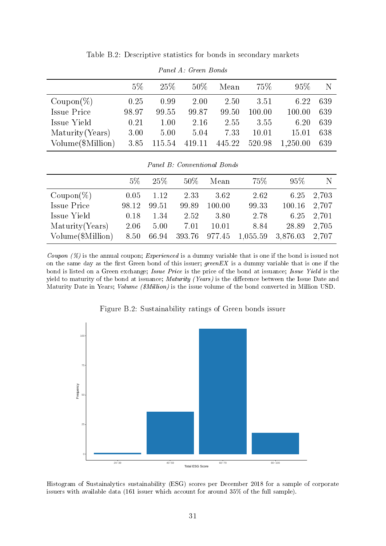<span id="page-31-0"></span>

|                     | $5\%$ | 25%    | 50%    | Mean   | 75%    | $95\%$   | N   |
|---------------------|-------|--------|--------|--------|--------|----------|-----|
| $\text{Coupon}(\%)$ | 0.25  | 0.99   | 2.00   | 2.50   | 3.51   | 6.22     | 639 |
| Issue Price         | 98.97 | 99.55  | 99.87  | 99.50  | 100.00 | 100.00   | 639 |
| Issue Yield         | 0.21  | 1.00   | 2.16   | 2.55   | 3.55   | 6.20     | 639 |
| Maturity (Years)    | 3.00  | 5.00   | 5.04   | 7.33   | 10.01  | 15.01    | 638 |
| Volume (\$Million)  | 3.85  | 115.54 | 419.11 | 445.22 | 520.98 | 1,250.00 | 639 |

Table B.2: Descriptive statistics for bonds in secondary markets

Panel A: Green Bonds

|  | Panel B: Conventional Bonds |  |
|--|-----------------------------|--|

|                       | $5\%$ | 25\%  | $50\%$        | Mean   | 75%      | 95%      | N     |
|-----------------------|-------|-------|---------------|--------|----------|----------|-------|
| $\mathrm{Coupon}(\%)$ | 0.05  | 1.12  | 2.33          | 3.62   | 2.62     | 6.25     | 2,703 |
| Issue Price           | 98.12 | 99.51 | 99.89         | 100.00 | 99.33    | 100.16   | 2.707 |
| Issue Yield           | 0.18  | 1.34  | 2.52          | 3.80   | 2.78     | 6.25     | 2,701 |
| Maturity (Years)      | 2.06  | 5.00  | 7.01          | 10.01  | 8.84     | 28.89    | 2,705 |
| Volume(\$Million)     | 8.50  | 66.94 | 393.76 977.45 |        | 1,055.59 | 3,876.03 | 2,707 |

Coupon (%) is the annual coupon; Experienced is a dummy variable that is one if the bond is issued not on the same day as the first Green bond of this issuer;  $greenEX$  is a dummy variable that is one if the bond is listed on a Green exchange; Issue Price is the price of the bond at issuance; Issue Yield is the yield to maturity of the bond at issuance; Maturity (Years) is the difference between the Issue Date and Maturity Date in Years; Volume (\$Million) is the issue volume of the bond converted in Million USD.



<span id="page-31-1"></span>

Histogram of Sustainalytics sustainability (ESG) scores per December 2018 for a sample of corporate issuers with available data (161 issuer which account for around 35% of the full sample).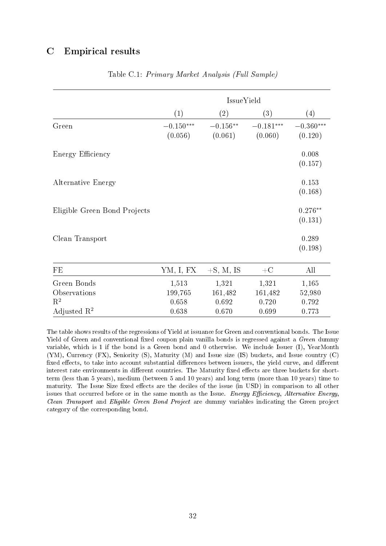## <span id="page-32-0"></span>C Empirical results

|                              | IssueYield             |                       |                        |                        |  |  |  |
|------------------------------|------------------------|-----------------------|------------------------|------------------------|--|--|--|
|                              | (1)                    | $\left( 2\right)$     | (3)                    | (4)                    |  |  |  |
| Green                        | $-0.150***$<br>(0.056) | $-0.156**$<br>(0.061) | $-0.181***$<br>(0.060) | $-0.360***$<br>(0.120) |  |  |  |
| Energy Efficiency            |                        |                       |                        | 0.008<br>(0.157)       |  |  |  |
| <b>Alternative Energy</b>    |                        |                       |                        | 0.153<br>(0.168)       |  |  |  |
| Eligible Green Bond Projects |                        |                       |                        | $0.276**$<br>(0.131)   |  |  |  |
| Clean Transport              |                        |                       |                        | 0.289<br>(0.198)       |  |  |  |
| FE                           | YM, I, FX              | $+S$ , M, IS          | $+C$                   | All                    |  |  |  |
| Green Bonds                  | 1,513                  | 1,321                 | 1,321                  | 1,165                  |  |  |  |
| Observations                 | 199,765                | 161,482               | 161,482                | 52,980                 |  |  |  |
| $\mathbf{R}^2$               | 0.658                  | 0.692                 | 0.720                  | 0.792                  |  |  |  |
| Adjusted $\mathbb{R}^2$      | 0.638                  | 0.670                 | 0.699                  | 0.773                  |  |  |  |

#### Table C.1: Primary Market Analysis (Full Sample)

The table shows results of the regressions of Yield at issuance for Green and conventional bonds. The Issue Yield of Green and conventional fixed coupon plain vanilla bonds is regressed against a Green dummy variable, which is 1 if the bond is a Green bond and 0 otherwise. We include Issuer (I), YearMonth (YM), Currency (FX), Seniority (S), Maturity (M) and Issue size (IS) buckets, and Issue country (C) fixed effects, to take into account substantial differences between issuers, the yield curve, and different interest rate environments in different countries. The Maturity fixed effects are three buckets for shortterm (less than 5 years), medium (between 5 and 10 years) and long term (more than 10 years) time to maturity. The Issue Size fixed effects are the deciles of the issue (in USD) in comparison to all other issues that occurred before or in the same month as the Issue. Energy Efficiency, Alternative Energy, Clean Transport and Eligible Green Bond Project are dummy variables indicating the Green project category of the corresponding bond.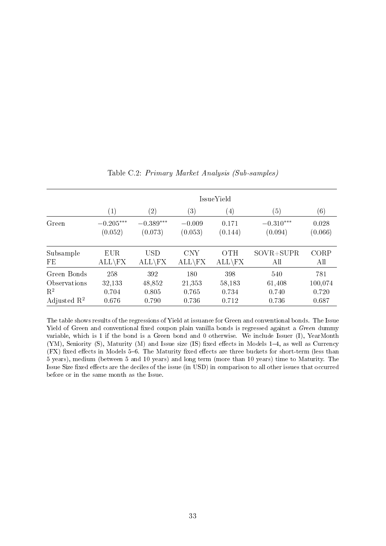<span id="page-33-0"></span>

|                         | IssueYield        |               |                  |                  |                  |                  |  |
|-------------------------|-------------------|---------------|------------------|------------------|------------------|------------------|--|
|                         | $\left( 1\right)$ | $^{\prime}2)$ | $\left(3\right)$ | $\left(4\right)$ | $\left(5\right)$ | $\left(6\right)$ |  |
| Green                   | $-0.205***$       | $-0.389***$   | $-0.009$         | 0.171            | $-0.310***$      | 0.028            |  |
|                         | (0.052)           | (0.073)       | (0.053)          | (0.144)          | (0.094)          | (0.066)          |  |
| Subsample               | EUR               | USD           | <b>CNY</b>       | <b>OTH</b>       | $SovR + SUPR$    | CORP             |  |
| FE                      | $ALL\$            | $ALL\$        | $ALL\$           | $ALL\$           | All              | All              |  |
| Green Bonds             | 258               | 392           | 180              | 398              | 540              | 781              |  |
| Observations            | 32,133            | 48,852        | 21,353           | 58,183           | 61,408           | 100,074          |  |
| $\mathrm{R}^2$          | 0.704             | 0.805         | 0.765            | 0.734            | 0.740            | 0.720            |  |
| Adjusted $\mathbb{R}^2$ | 0.676             | 0.790         | 0.736            | 0.712            | 0.736            | 0.687            |  |

Table C.2: Primary Market Analysis (Sub-samples)

The table shows results of the regressions of Yield at issuance for Green and conventional bonds. The Issue Yield of Green and conventional fixed coupon plain vanilla bonds is regressed against a Green dummy variable, which is 1 if the bond is a Green bond and 0 otherwise. We include Issuer (I), YearMonth  $(YM)$ , Seniority  $(S)$ , Maturity  $(M)$  and Issue size  $(IS)$  fixed effects in Models 1–4, as well as Currency  $(FX)$  fixed effects in Models 5–6. The Maturity fixed effects are three buckets for short-term (less than 5 years), medium (between 5 and 10 years) and long term (more than 10 years) time to Maturity. The Issue Size fixed effects are the deciles of the issue (in USD) in comparison to all other issues that occurred before or in the same month as the Issue.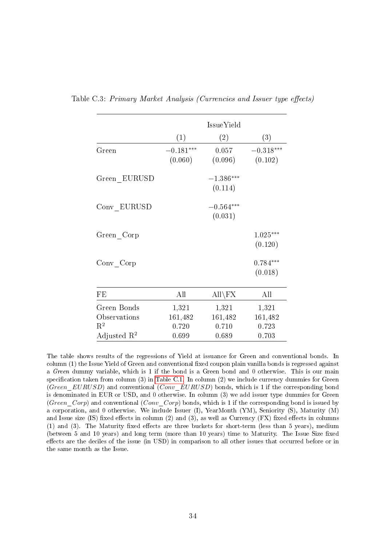| (1)                    | IssueYield             |                           |
|------------------------|------------------------|---------------------------|
|                        | (2)                    | (3)                       |
| $-0.181***$<br>(0.060) | 0.057<br>(0.096)       | $-0.318***$<br>(0.102)    |
|                        | $-1.386***$<br>(0.114) |                           |
|                        | $-0.564***$<br>(0.031) |                           |
|                        |                        | $1.025***$<br>(0.120)     |
|                        |                        | $0.784***$<br>(0.018)     |
| All                    | $All\$                 | All                       |
| 1,321                  | 1,321                  | 1,321                     |
| 0.720                  | 0.710                  | 161,482<br>0.723<br>0.703 |
|                        | 161,482<br>0.699       | 161,482<br>0.689          |

<span id="page-34-0"></span>Table C.3: Primary Market Analysis (Currencies and Issuer type effects)

The table shows results of the regressions of Yield at issuance for Green and conventional bonds. In column (1) the Issue Yield of Green and conventional fixed coupon plain vanilla bonds is regressed against a Green dummy variable, which is 1 if the bond is a Green bond and 0 otherwise. This is our main specification taken from column  $(3)$  in [Table C.1.](#page-32-0) In column  $(2)$  we include currency dummies for Green (Green EURUSD) and conventional (Conv EURUSD) bonds, which is 1 if the corresponding bond is denominated in EUR or USD, and 0 otherwise. In column (3) we add issuer type dummies for Green (Green Corp) and conventional (Conv Corp) bonds, which is 1 if the corresponding bond is issued by a corporation, and 0 otherwise. We include Issuer (I), YearMonth (YM), Seniority (S), Maturity (M) and Issue size (IS) fixed effects in column (2) and (3), as well as Currency  $(FX)$  fixed effects in columns  $(1)$  and  $(3)$ . The Maturity fixed effects are three buckets for short-term (less than 5 years), medium (between 5 and 10 years) and long term (more than 10 years) time to Maturity. The Issue Size fixed effects are the deciles of the issue (in USD) in comparison to all other issues that occurred before or in the same month as the Issue.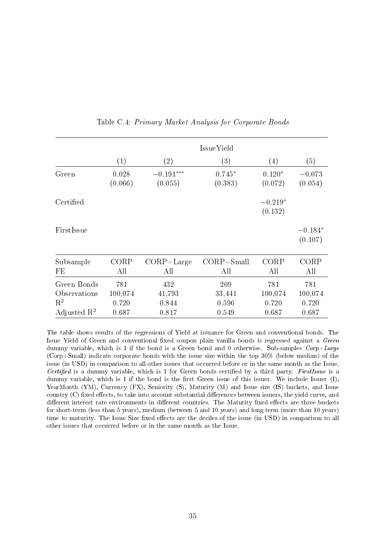<span id="page-35-0"></span>

|                                               |                         |                        | IssueYield             |                         |                         |
|-----------------------------------------------|-------------------------|------------------------|------------------------|-------------------------|-------------------------|
|                                               | (1)                     | $\left( 2\right)$      | (3)                    | $\left(4\right)$        | (5)                     |
| Green                                         | 0.028<br>(0.066)        | $-0.191***$<br>(0.055) | $0.745*$<br>(0.383)    | $0.120*$<br>(0.072)     | $-0.073$<br>(0.054)     |
| Certified                                     |                         |                        |                        | $-0.219*$<br>(0.132)    |                         |
| FirstIssue                                    |                         |                        |                        |                         | $-0.184*$<br>(0.107)    |
| Subsample<br>FE                               | CORP<br>All             | $CORP+Large$<br>All    | $CORP + Small$<br>All  | CORP<br>All             | CORP<br>All             |
| Green Bonds<br>Observations<br>$\mathbf{R}^2$ | 781<br>100,074<br>0.720 | 432<br>41,793<br>0.844 | 209<br>33,441<br>0.596 | 781<br>100,074<br>0.720 | 781<br>100,074<br>0.720 |
| Adjusted $\mathbb{R}^2$                       | 0.687                   | 0.817                  | 0.549                  | 0.687                   | 0.687                   |

Table C.4: Primary Market Analysis for Corporate Bonds

The table shows results of the regressions of Yield at issuance for Green and conventional bonds. The Issue Yield of Green and conventional fixed coupon plain vanilla bonds is regressed against a Green dummy variable, which is 1 if the bond is a Green bond and 0 otherwise. Sub-samples  $Corp+Large$ (Corp+Small) indicate corporate bonds with the issue size within the top 30% (below median) of the issue (in USD) in comparison to all other issues that occurred before or in the same month as the Issue. Certified is a dummy variable, which is 1 for Green bonds certified by a third party. FirstIssue is a dummy variable, which is 1 if the bond is the first Green issue of this issuer. We include Issuer  $(I)$ , YearMonth (YM), Currency (FX), Seniority (S), Maturity (M) and Issue size (IS) buckets, and Issue country (C) fixed effects, to take into account substantial differences between issuers, the yield curve, and different interest rate environments in different countries. The Maturity fixed effects are three buckets for short-term (less than 5 years), medium (between 5 and 10 years) and long term (more than 10 years) time to maturity. The Issue Size fixed effects are the deciles of the issue (in USD) in comparison to all other issues that occurred before or in the same month as the Issue.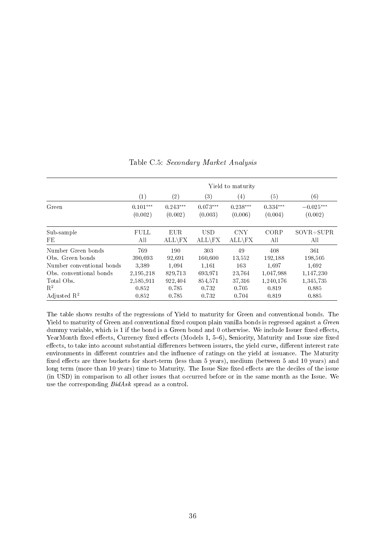<span id="page-36-0"></span>

|                           | Yield to maturity     |                       |                       |                       |                       |                        |
|---------------------------|-----------------------|-----------------------|-----------------------|-----------------------|-----------------------|------------------------|
|                           | (1)                   | $\left( 2\right)$     | $\left( 3\right)$     | $\left( 4\right)$     | (5)                   | (6)                    |
| Green                     | $0.101***$<br>(0.002) | $0.243***$<br>(0.002) | $0.073***$<br>(0.003) | $0.238***$<br>(0.006) | $0.334***$<br>(0.004) | $-0.025***$<br>(0.002) |
| Sub-sample<br>FE          | <b>FULL</b><br>All    | EUR.<br>$ALL\$        | <b>USD</b><br>$ALL \$ | <b>CNY</b><br>$ALL \$ | CORP<br>All           | $SOVR + SUPR$<br>All   |
| Number Green bonds        | 769                   | 190                   | 303                   | 49                    | 408                   | 361                    |
| Obs. Green bonds          | 390.693               | 92.691                | 160.600               | 13,552                | 192,188               | 198,505                |
| Number conventional bonds | 3,389                 | 1,094                 | 1.161                 | 163                   | 1.697                 | 1,692                  |
| Obs. conventional bonds   | 2,195,218             | 829.713               | 693.971               | 23.764                | 1.047.988             | 1,147,230              |
| Total Obs.                | 2,585,911             | 922,404               | 854,571               | 37,316                | 1,240,176             | 1,345,735              |
| $\mathbf{R}^2$            | 0.852                 | 0.785                 | 0.732                 | 0.705                 | 0.819                 | 0.885                  |
| Adjusted $\mathbb{R}^2$   | 0.852                 | 0.785                 | 0.732                 | 0.704                 | 0.819                 | 0.885                  |

Table C.5: Secondary Market Analysis

The table shows results of the regressions of Yield to maturity for Green and conventional bonds. The Yield to maturity of Green and conventional fixed coupon plain vanilla bonds is regressed against a Green dummy variable, which is 1 if the bond is a Green bond and 0 otherwise. We include Issuer fixed effects, YearMonth fixed effects, Currency fixed effects (Models 1, 5-6), Seniority, Maturity and Issue size fixed effects, to take into account substantial differences between issuers, the yield curve, different interest rate environments in different countries and the influence of ratings on the yield at issuance. The Maturity fixed effects are three buckets for short-term (less than 5 years), medium (between 5 and 10 years) and long term (more than 10 years) time to Maturity. The Issue Size fixed effects are the deciles of the issue (in USD) in comparison to all other issues that occurred before or in the same month as the Issue. We use the corresponding BidAsk spread as a control.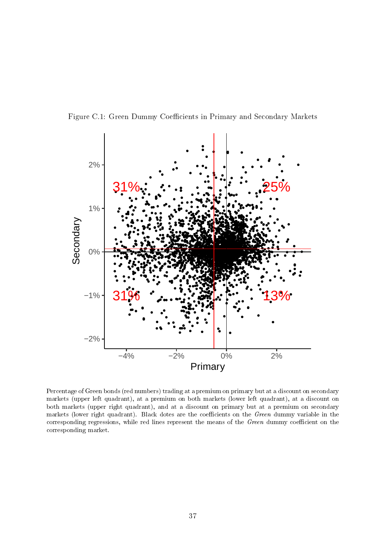<span id="page-37-0"></span>



Percentage of Green bonds (red numbers) trading at a premium on primary but at a discount on secondary markets (upper left quadrant), at a premium on both markets (lower left quadrant), at a discount on both markets (upper right quadrant), and at a discount on primary but at a premium on secondary markets (lower right quadrant). Black dotes are the coefficients on the Green dummy variable in the corresponding regressions, while red lines represent the means of the Green dummy coefficient on the corresponding market.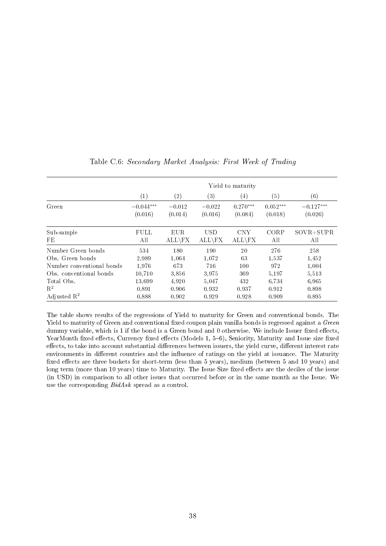<span id="page-38-0"></span>

|                           | Yield to maturity |                   |            |                  |            |               |
|---------------------------|-------------------|-------------------|------------|------------------|------------|---------------|
|                           | $\left( 1\right)$ | $\left( 2\right)$ | (3)        | $\left(4\right)$ | (5)        | (6)           |
| Green                     | $-0.044***$       | $-0.012$          | $-0.022$   | $0.270***$       | $0.052***$ | $-0.127***$   |
|                           | (0.016)           | (0.014)           | (0.016)    | (0.084)          | (0.018)    | (0.026)       |
| Sub-sample                | <b>FULL</b>       | EUR.              | <b>USD</b> | <b>CNY</b>       | CORP       | $SOVR + SUPR$ |
| FE                        | All               | $ALL\$            | $ALL\$     | $ALL\$           | All        | All           |
| Number Green bonds        | 534               | 180               | 190        | 20               | 276        | 258           |
| Obs. Green bonds          | 2,989             | 1.064             | 1,072      | 63               | 1.537      | 1,452         |
| Number conventional bonds | 1.976             | 673               | 716        | 100              | 972        | 1,004         |
| Obs. conventional bonds   | 10.710            | 3.856             | 3,975      | 369              | 5.197      | 5,513         |
| Total Obs.                | 13,699            | 4,920             | 5,047      | 432              | 6,734      | 6,965         |
| $R^2$                     | 0.891             | 0.906             | 0.932      | 0.937            | 0.912      | 0.898         |
| Adjusted $\mathbb{R}^2$   | 0.888             | 0.902             | 0.929      | 0.928            | 0.909      | 0.895         |

Table C.6: Secondary Market Analysis: First Week of Trading

The table shows results of the regressions of Yield to maturity for Green and conventional bonds. The Yield to maturity of Green and conventional fixed coupon plain vanilla bonds is regressed against a Green dummy variable, which is 1 if the bond is a Green bond and 0 otherwise. We include Issuer fixed effects, YearMonth fixed effects, Currency fixed effects (Models  $1, 5-6$ ), Seniority, Maturity and Issue size fixed effects, to take into account substantial differences between issuers, the yield curve, different interest rate environments in different countries and the influence of ratings on the yield at issuance. The Maturity fixed effects are three buckets for short-term (less than 5 years), medium (between 5 and 10 years) and long term (more than 10 years) time to Maturity. The Issue Size fixed effects are the deciles of the issue (in USD) in comparison to all other issues that occurred before or in the same month as the Issue. We use the corresponding BidAsk spread as a control.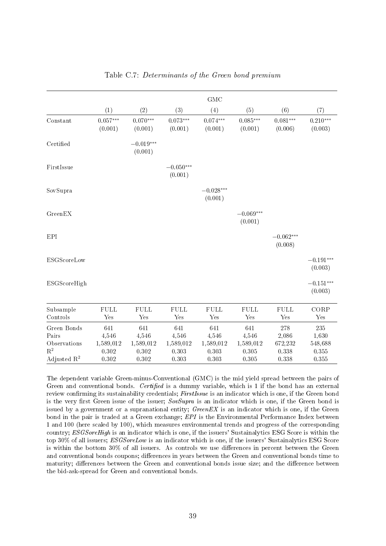<span id="page-39-0"></span>

|                         |                       |                        |                        | <b>GMC</b>            |                       |                       |                       |
|-------------------------|-----------------------|------------------------|------------------------|-----------------------|-----------------------|-----------------------|-----------------------|
|                         | (1)                   | (2)                    | (3)                    | (4)                   | (5)                   | (6)                   | (7)                   |
| Constant                | $0.057***$<br>(0.001) | $0.070***$<br>(0.001)  | $0.073***$<br>(0.001)  | $0.074***$<br>(0.001) | $0.085***$<br>(0.001) | $0.081***$<br>(0.006) | $0.210***$<br>(0.003) |
|                         |                       |                        |                        |                       |                       |                       |                       |
| Certified               |                       | $-0.019***$<br>(0.001) |                        |                       |                       |                       |                       |
|                         |                       |                        |                        |                       |                       |                       |                       |
| FirstIssue              |                       |                        | $-0.050***$<br>(0.001) |                       |                       |                       |                       |
|                         |                       |                        |                        |                       |                       |                       |                       |
| SovSupra                |                       |                        |                        | $-0.028***$           |                       |                       |                       |
|                         |                       |                        |                        | (0.001)               |                       |                       |                       |
| GreenEX                 |                       |                        |                        |                       | $-0.069***$           |                       |                       |
|                         |                       |                        |                        |                       | (0.001)               |                       |                       |
|                         |                       |                        |                        |                       |                       |                       |                       |
| EPI                     |                       |                        |                        |                       |                       | $-0.062***$           |                       |
|                         |                       |                        |                        |                       |                       | (0.008)               |                       |
| ESGScoreLow             |                       |                        |                        |                       |                       |                       | $-0.191***$           |
|                         |                       |                        |                        |                       |                       |                       | (0.003)               |
|                         |                       |                        |                        |                       |                       |                       |                       |
| ESGScoreHigh            |                       |                        |                        |                       |                       |                       | $-0.151***$           |
|                         |                       |                        |                        |                       |                       |                       | (0.003)               |
| Subsample               | <b>FULL</b>           | ${\rm FULL}$           | FULL                   | <b>FULL</b>           | <b>FULL</b>           | ${\rm FULL}$          | CORP                  |
| Controls                | Yes                   | Yes                    | Yes                    | Yes                   | Yes                   | Yes                   | $_{\rm Yes}$          |
| Green Bonds             | 641                   | 641                    | 641                    | 641                   | 641                   | 278                   | 235                   |
| Pairs                   | 4,546                 | 4,546                  | 4,546                  | 4,546                 | 4,546                 | 2,086                 | 1,630                 |
| Observations            | 1,589,012             | 1,589,012              | 1,589,012              | 1,589,012             | 1,589,012             | 672,232               | 548,688               |
| $R^2$                   | 0.302                 | 0.302                  | 0.303                  | 0.303                 | 0.305                 | 0.338                 | 0.355                 |
| Adjusted $\mathbb{R}^2$ | 0.302                 | 0.302                  | 0.303                  | 0.303                 | 0.305                 | 0.338                 | 0.355                 |

#### Table C.7: Determinants of the Green bond premium

The dependent variable Green-minus-Conventional (GMC) is the mid yield spread between the pairs of Green and conventional bonds. Certified is a dummy variable, which is  $1$  if the bond has an external review confirming its sustainability credentials; FirstIssue is an indicator which is one, if the Green bond is the very first Green issue of the issuer;  $SovSupra$  is an indicator which is one, if the Green bond is issued by a government or a supranational entity;  $GreenEX$  is an indicator which is one, if the Green bond in the pair is traded at a Green exchange; EPI is the Environmental Performance Index between 1 and 100 (here scaled by 100), which measures environmental trends and progress of the corresponding country; *ESGSoreHigh* is an indicator which is one, if the issuers' Sustainalytics ESG Score is within the top 30% of all issuers; *ESGSoreLow* is an indicator which is one, if the issuers' Sustainalytics ESG Score is within the bottom  $30\%$  of all issuers. As controls we use differences in percent between the Green and conventional bonds coupons; differences in years between the Green and conventional bonds time to maturity; differences between the Green and conventional bonds issue size; and the difference between the bid-ask-spread for Green and conventional bonds.